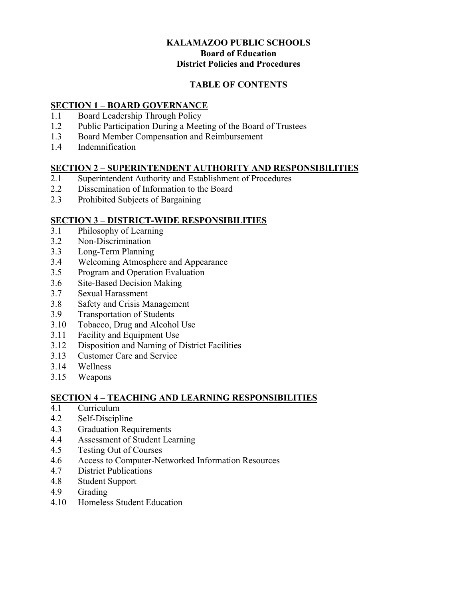## **KALAMAZOO PUBLIC SCHOOLS Board of Education District Policies and Procedures**

## **TABLE OF CONTENTS**

## **SECTION 1 – BOARD GOVERNANCE**

- 1.1 Board Leadership Through Policy
- 1.2 Public Participation During a Meeting of the Board of Trustees
- 1.3 Board Member Compensation and Reimbursement
- 1.4 Indemnification

## **SECTION 2 – SUPERINTENDENT AUTHORITY AND RESPONSIBILITIES**

- 2.1 Superintendent Authority and Establishment of Procedures
- 2.2 Dissemination of Information to the Board
- 2.3 Prohibited Subjects of Bargaining

## **SECTION 3 – DISTRICT-WIDE RESPONSIBILITIES**

- 3.1 Philosophy of Learning
- 3.2 Non-Discrimination
- 3.3 Long-Term Planning
- 3.4 Welcoming Atmosphere and Appearance
- 3.5 Program and Operation Evaluation
- 3.6 Site-Based Decision Making
- 3.7 Sexual Harassment
- 3.8 Safety and Crisis Management
- 3.9 Transportation of Students
- 3.10 Tobacco, Drug and Alcohol Use
- 3.11 Facility and Equipment Use
- 3.12 Disposition and Naming of District Facilities
- 3.13 Customer Care and Service
- 3.14 Wellness
- 3.15 Weapons

## **SECTION 4 – TEACHING AND LEARNING RESPONSIBILITIES**

- 4.1 Curriculum
- 4.2 Self-Discipline
- 4.3 Graduation Requirements
- 4.4 Assessment of Student Learning
- 4.5 Testing Out of Courses
- 4.6 Access to Computer-Networked Information Resources
- 4.7 District Publications
- 4.8 Student Support
- 4.9 Grading
- 4.10 Homeless Student Education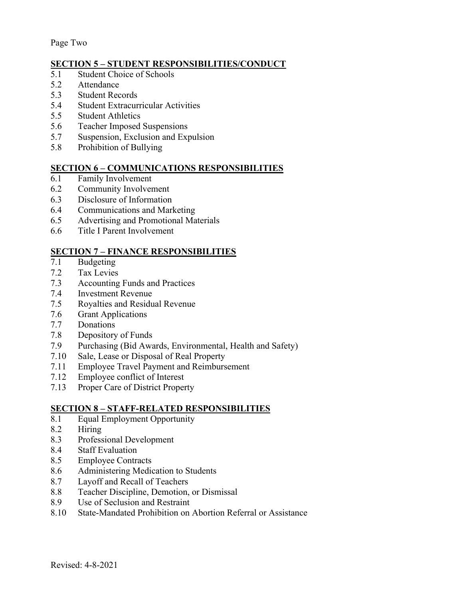Page Two

## **SECTION 5 – STUDENT RESPONSIBILITIES/CONDUCT**

- 5.1 Student Choice of Schools
- 5.2 Attendance
- 5.3 Student Records
- 5.4 Student Extracurricular Activities
- 5.5 Student Athletics
- 5.6 Teacher Imposed Suspensions
- 5.7 Suspension, Exclusion and Expulsion
- 5.8 Prohibition of Bullying

#### **SECTION 6 – COMMUNICATIONS RESPONSIBILITIES**

- $\overline{6.1}$  Family Involvement
- 6.2 Community Involvement
- 6.3 Disclosure of Information
- 6.4 Communications and Marketing
- 6.5 Advertising and Promotional Materials
- 6.6 Title I Parent Involvement

## **SECTION 7 – FINANCE RESPONSIBILITIES**

- 7.1 Budgeting
- 7.2 Tax Levies
- 7.3 Accounting Funds and Practices
- 7.4 Investment Revenue
- 7.5 Royalties and Residual Revenue
- 7.6 Grant Applications
- 7.7 Donations
- 7.8 Depository of Funds
- 7.9 Purchasing (Bid Awards, Environmental, Health and Safety)
- 7.10 Sale, Lease or Disposal of Real Property
- 7.11 Employee Travel Payment and Reimbursement
- 7.12 Employee conflict of Interest
- 7.13 Proper Care of District Property

## **SECTION 8 – STAFF-RELATED RESPONSIBILITIES**

- 8.1 Equal Employment Opportunity
- 8.2 Hiring
- 8.3 Professional Development
- 8.4 Staff Evaluation
- 8.5 Employee Contracts
- 8.6 Administering Medication to Students
- 8.7 Layoff and Recall of Teachers
- 8.8 Teacher Discipline, Demotion, or Dismissal
- 8.9 Use of Seclusion and Restraint
- 8.10 State-Mandated Prohibition on Abortion Referral or Assistance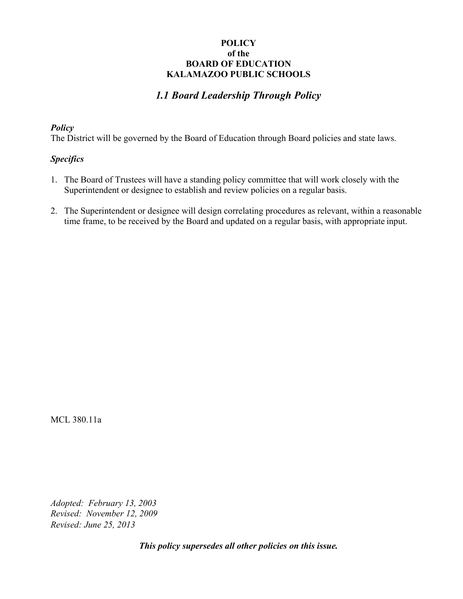# *1.1 Board Leadership Through Policy*

#### *Policy*

The District will be governed by the Board of Education through Board policies and state laws.

## *Specifics*

- 1. The Board of Trustees will have a standing policy committee that will work closely with the Superintendent or designee to establish and review policies on a regular basis.
- 2. The Superintendent or designee will design correlating procedures as relevant, within a reasonable time frame, to be received by the Board and updated on a regular basis, with appropriate input.

MCL 380.11a

*Revised: June 25, 2013 Adopted: February 13, 2003 Revised: November 12, 2009*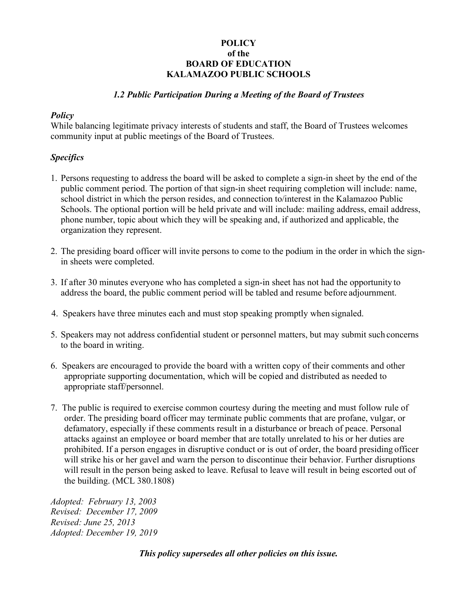#### *1.2 Public Participation During a Meeting of the Board of Trustees*

#### *Policy*

While balancing legitimate privacy interests of students and staff, the Board of Trustees welcomes community input at public meetings of the Board of Trustees.

#### *Specifics*

- 1. Persons requesting to address the board will be asked to complete a sign-in sheet by the end of the public comment period. The portion of that sign-in sheet requiring completion will include: name, school district in which the person resides, and connection to/interest in the Kalamazoo Public Schools. The optional portion will be held private and will include: mailing address, email address, phone number, topic about which they will be speaking and, if authorized and applicable, the organization they represent.
- 2. The presiding board officer will invite persons to come to the podium in the order in which the signin sheets were completed.
- 3. If after 30 minutes everyone who has completed a sign-in sheet has not had the opportunity to address the board, the public comment period will be tabled and resume before adjournment.
- 4. Speakers have three minutes each and must stop speaking promptly when signaled.
- 5. Speakers may not address confidential student or personnel matters, but may submit such concerns to the board in writing.
- 6. Speakers are encouraged to provide the board with a written copy of their comments and other appropriate supporting documentation, which will be copied and distributed as needed to appropriate staff/personnel.
- 7. The public is required to exercise common courtesy during the meeting and must follow rule of order. The presiding board officer may terminate public comments that are profane, vulgar, or defamatory, especially if these comments result in a disturbance or breach of peace. Personal attacks against an employee or board member that are totally unrelated to his or her duties are prohibited. If a person engages in disruptive conduct or is out of order, the board presiding officer will strike his or her gavel and warn the person to discontinue their behavior. Further disruptions will result in the person being asked to leave. Refusal to leave will result in being escorted out of the building. (MCL 380.1808)

*Adopted: February 13, 2003 Revised: December 17, 2009 Revised: June 25, 2013 Adopted: December 19, 2019*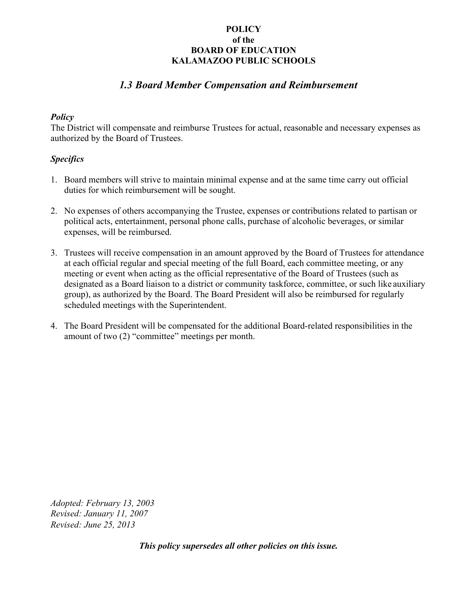# *1.3 Board Member Compensation and Reimbursement*

#### *Policy*

The District will compensate and reimburse Trustees for actual, reasonable and necessary expenses as authorized by the Board of Trustees.

## *Specifics*

- 1. Board members will strive to maintain minimal expense and at the same time carry out official duties for which reimbursement will be sought.
- 2. No expenses of others accompanying the Trustee, expenses or contributions related to partisan or political acts, entertainment, personal phone calls, purchase of alcoholic beverages, or similar expenses, will be reimbursed.
- 3. Trustees will receive compensation in an amount approved by the Board of Trustees for attendance at each official regular and special meeting of the full Board, each committee meeting, or any meeting or event when acting as the official representative of the Board of Trustees (such as designated as a Board liaison to a district or community taskforce, committee, or such like auxiliary group), as authorized by the Board. The Board President will also be reimbursed for regularly scheduled meetings with the Superintendent.
- 4. The Board President will be compensated for the additional Board-related responsibilities in the amount of two (2) "committee" meetings per month.

*Revised: June 25, 2013 Adopted: February 13, 2003 Revised: January 11, 2007*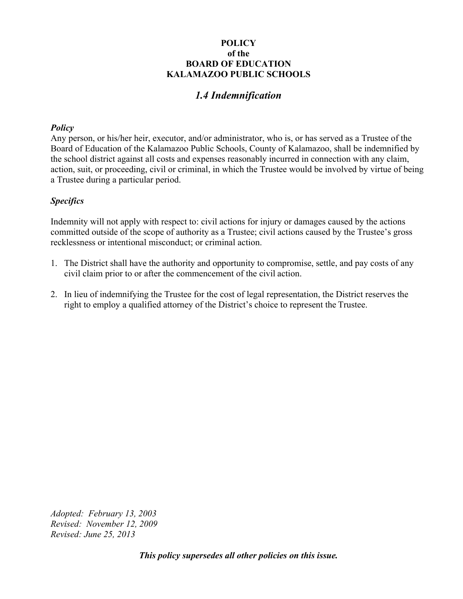# *1.4 Indemnification*

#### *Policy*

Any person, or his/her heir, executor, and/or administrator, who is, or has served as a Trustee of the Board of Education of the Kalamazoo Public Schools, County of Kalamazoo, shall be indemnified by the school district against all costs and expenses reasonably incurred in connection with any claim, action, suit, or proceeding, civil or criminal, in which the Trustee would be involved by virtue of being a Trustee during a particular period.

## *Specifics*

Indemnity will not apply with respect to: civil actions for injury or damages caused by the actions committed outside of the scope of authority as a Trustee; civil actions caused by the Trustee's gross recklessness or intentional misconduct; or criminal action.

- 1. The District shall have the authority and opportunity to compromise, settle, and pay costs of any civil claim prior to or after the commencement of the civil action.
- 2. In lieu of indemnifying the Trustee for the cost of legal representation, the District reserves the right to employ a qualified attorney of the District's choice to represent the Trustee.

*Adopted: February 13, 2003 Revised: November 12, 2009 Revised: June 25, 2013*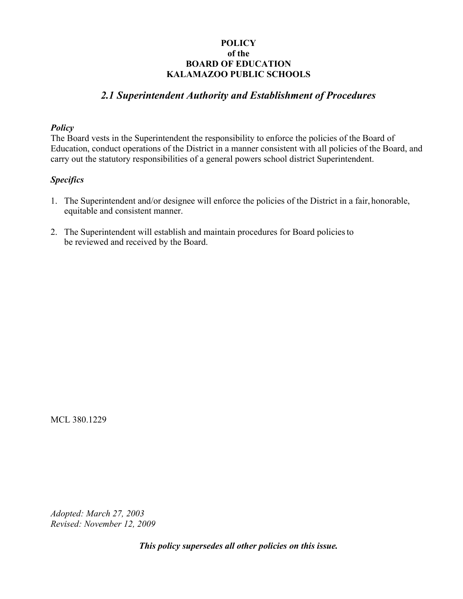## *2.1 Superintendent Authority and Establishment of Procedures*

#### *Policy*

The Board vests in the Superintendent the responsibility to enforce the policies of the Board of Education, conduct operations of the District in a manner consistent with all policies of the Board, and carry out the statutory responsibilities of a general powers school district Superintendent.

## *Specifics*

- 1. The Superintendent and/or designee will enforce the policies of the District in a fair, honorable, equitable and consistent manner.
- 2. The Superintendent will establish and maintain procedures for Board policies to be reviewed and received by the Board.

MCL 380.1229

*Adopted: March 27, 2003 Revised: November 12, 2009*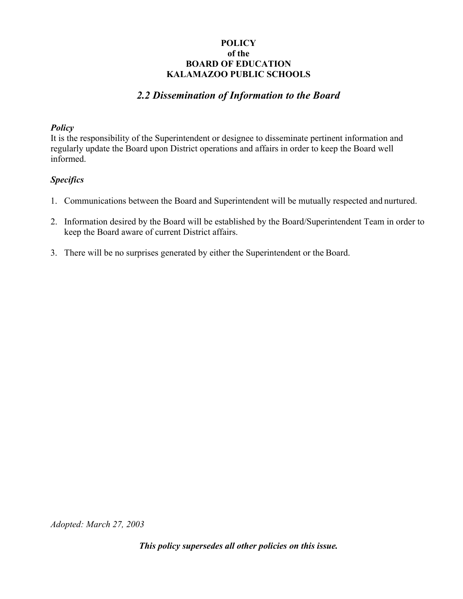# *2.2 Dissemination of Information to the Board*

#### *Policy*

It is the responsibility of the Superintendent or designee to disseminate pertinent information and regularly update the Board upon District operations and affairs in order to keep the Board well informed.

## *Specifics*

- 1. Communications between the Board and Superintendent will be mutually respected and nurtured.
- 2. Information desired by the Board will be established by the Board/Superintendent Team in order to keep the Board aware of current District affairs.
- 3. There will be no surprises generated by either the Superintendent or the Board.

*Adopted: March 27, 2003*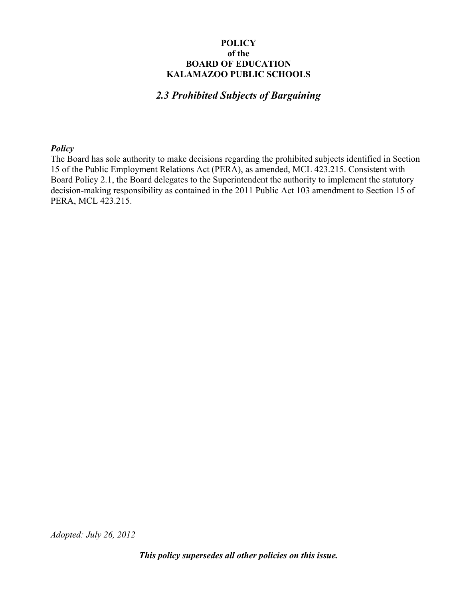# *2.3 Prohibited Subjects of Bargaining*

#### *Policy*

The Board has sole authority to make decisions regarding the prohibited subjects identified in Section 15 of the Public Employment Relations Act (PERA), as amended, MCL 423.215. Consistent with Board Policy 2.1, the Board delegates to the Superintendent the authority to implement the statutory decision-making responsibility as contained in the 2011 Public Act 103 amendment to Section 15 of PERA, MCL 423.215.

*Adopted: July 26, 2012*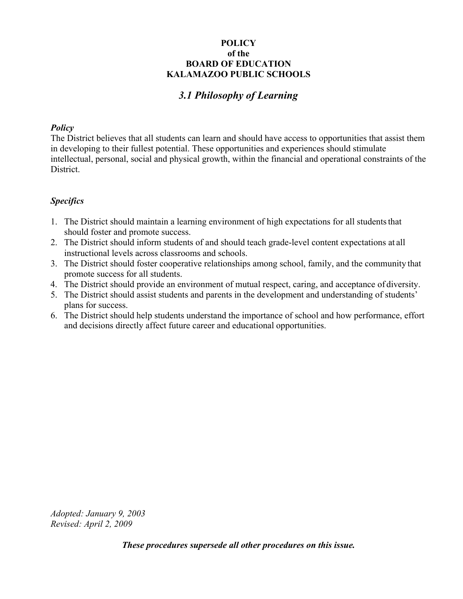# *3.1 Philosophy of Learning*

#### *Policy*

The District believes that all students can learn and should have access to opportunities that assist them in developing to their fullest potential. These opportunities and experiences should stimulate intellectual, personal, social and physical growth, within the financial and operational constraints of the District.

## *Specifics*

- 1. The District should maintain a learning environment of high expectations for all students that should foster and promote success.
- 2. The District should inform students of and should teach grade-level content expectations at all instructional levels across classrooms and schools.
- 3. The District should foster cooperative relationships among school, family, and the community that promote success for all students.
- 4. The District should provide an environment of mutual respect, caring, and acceptance of diversity.
- 5. The District should assist students and parents in the development and understanding of students' plans for success.
- 6. The District should help students understand the importance of school and how performance, effort and decisions directly affect future career and educational opportunities.

*Adopted: January 9, 2003 Revised: April 2, 2009* 

*These procedures supersede all other procedures on this issue.*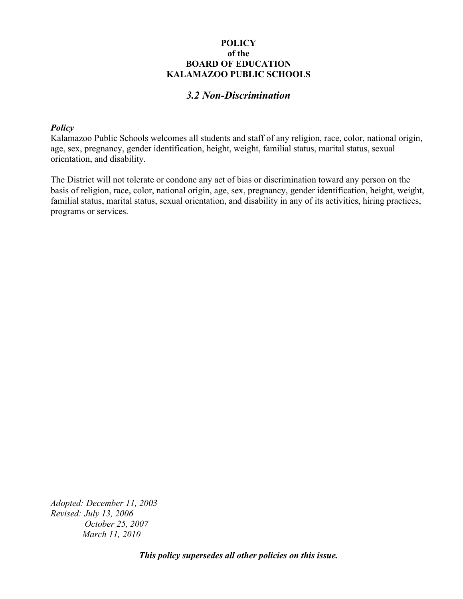## *3.2 Non-Discrimination*

#### *Policy*

Kalamazoo Public Schools welcomes all students and staff of any religion, race, color, national origin, age, sex, pregnancy, gender identification, height, weight, familial status, marital status, sexual orientation, and disability.

The District will not tolerate or condone any act of bias or discrimination toward any person on the basis of religion, race, color, national origin, age, sex, pregnancy, gender identification, height, weight, familial status, marital status, sexual orientation, and disability in any of its activities, hiring practices, programs or services.

*Adopted: December 11, 2003 Revised: July 13, 2006 October 25, 2007 March 11, 2010*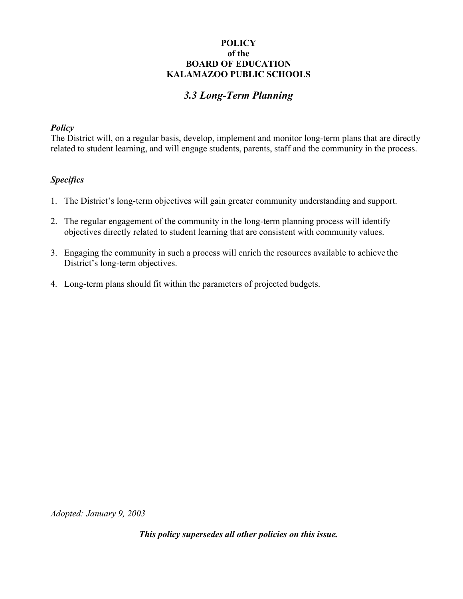# *3.3 Long-Term Planning*

#### *Policy*

The District will, on a regular basis, develop, implement and monitor long-term plans that are directly related to student learning, and will engage students, parents, staff and the community in the process.

## *Specifics*

- 1. The District's long-term objectives will gain greater community understanding and support.
- 2. The regular engagement of the community in the long-term planning process will identify objectives directly related to student learning that are consistent with community values.
- 3. Engaging the community in such a process will enrich the resources available to achieve the District's long-term objectives.
- 4. Long-term plans should fit within the parameters of projected budgets.

*Adopted: January 9, 2003*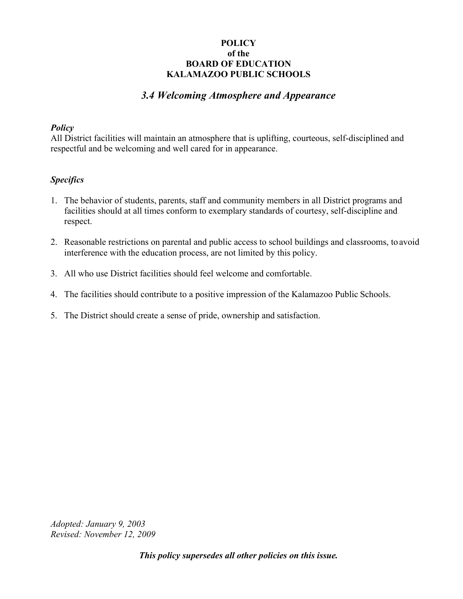# *3.4 Welcoming Atmosphere and Appearance*

#### *Policy*

All District facilities will maintain an atmosphere that is uplifting, courteous, self-disciplined and respectful and be welcoming and well cared for in appearance.

## *Specifics*

- 1. The behavior of students, parents, staff and community members in all District programs and facilities should at all times conform to exemplary standards of courtesy, self-discipline and respect.
- 2. Reasonable restrictions on parental and public access to school buildings and classrooms, to avoid interference with the education process, are not limited by this policy.
- 3. All who use District facilities should feel welcome and comfortable.
- 4. The facilities should contribute to a positive impression of the Kalamazoo Public Schools.
- 5. The District should create a sense of pride, ownership and satisfaction.

*Adopted: January 9, 2003 Revised: November 12, 2009*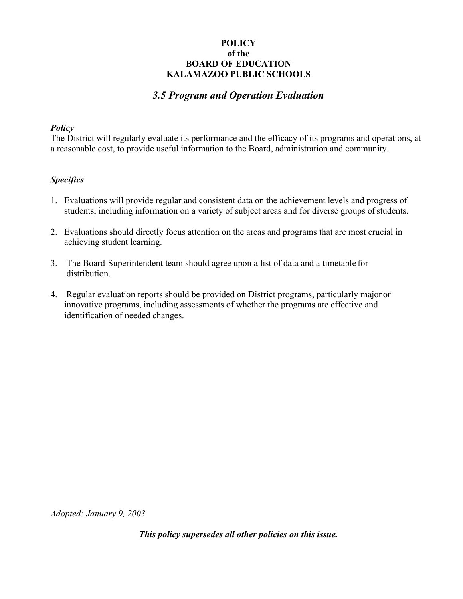## *3.5 Program and Operation Evaluation*

#### *Policy*

The District will regularly evaluate its performance and the efficacy of its programs and operations, at a reasonable cost, to provide useful information to the Board, administration and community.

## *Specifics*

- 1. Evaluations will provide regular and consistent data on the achievement levels and progress of students, including information on a variety of subject areas and for diverse groups of students.
- 2. Evaluations should directly focus attention on the areas and programs that are most crucial in achieving student learning.
- 3. The Board-Superintendent team should agree upon a list of data and a timetable for distribution.
- 4. Regular evaluation reports should be provided on District programs, particularly major or innovative programs, including assessments of whether the programs are effective and identification of needed changes.

*Adopted: January 9, 2003*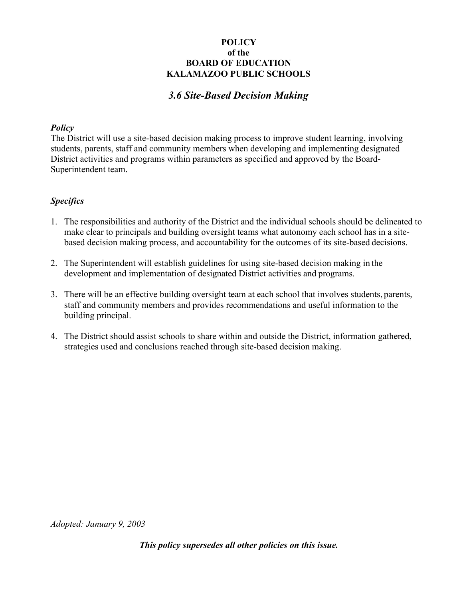# *3.6 Site-Based Decision Making*

#### *Policy*

The District will use a site-based decision making process to improve student learning, involving students, parents, staff and community members when developing and implementing designated District activities and programs within parameters as specified and approved by the Board-Superintendent team.

## *Specifics*

- 1. The responsibilities and authority of the District and the individual schools should be delineated to make clear to principals and building oversight teams what autonomy each school has in a sitebased decision making process, and accountability for the outcomes of its site-based decisions.
- 2. The Superintendent will establish guidelines for using site-based decision making in the development and implementation of designated District activities and programs.
- 3. There will be an effective building oversight team at each school that involves students, parents, staff and community members and provides recommendations and useful information to the building principal.
- 4. The District should assist schools to share within and outside the District, information gathered, strategies used and conclusions reached through site-based decision making.

*Adopted: January 9, 2003*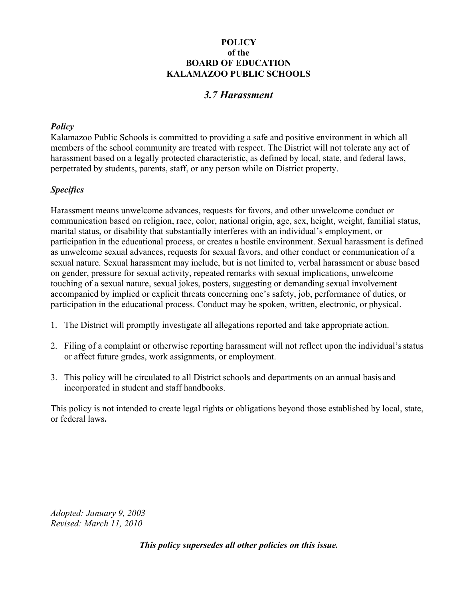# *3.7 Harassment*

#### *Policy*

Kalamazoo Public Schools is committed to providing a safe and positive environment in which all members of the school community are treated with respect. The District will not tolerate any act of harassment based on a legally protected characteristic, as defined by local, state, and federal laws, perpetrated by students, parents, staff, or any person while on District property.

## *Specifics*

Harassment means unwelcome advances, requests for favors, and other unwelcome conduct or communication based on religion, race, color, national origin, age, sex, height, weight, familial status, marital status, or disability that substantially interferes with an individual's employment, or participation in the educational process, or creates a hostile environment. Sexual harassment is defined as unwelcome sexual advances, requests for sexual favors, and other conduct or communication of a sexual nature. Sexual harassment may include, but is not limited to, verbal harassment or abuse based on gender, pressure for sexual activity, repeated remarks with sexual implications, unwelcome touching of a sexual nature, sexual jokes, posters, suggesting or demanding sexual involvement accompanied by implied or explicit threats concerning one's safety, job, performance of duties, or participation in the educational process. Conduct may be spoken, written, electronic, or physical.

- 1. The District will promptly investigate all allegations reported and take appropriate action.
- 2. Filing of a complaint or otherwise reporting harassment will not reflect upon the individual's status or affect future grades, work assignments, or employment.
- 3. This policy will be circulated to all District schools and departments on an annual basis and incorporated in student and staff handbooks.

This policy is not intended to create legal rights or obligations beyond those established by local, state, or federal laws**.** 

*Adopted: January 9, 2003 Revised: March 11, 2010*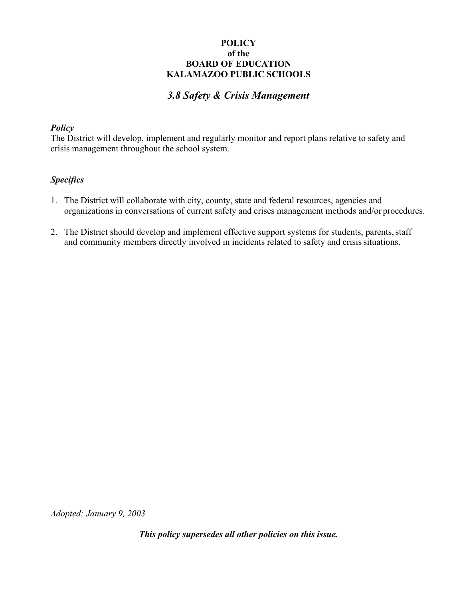# *3.8 Safety & Crisis Management*

#### *Policy*

The District will develop, implement and regularly monitor and report plans relative to safety and crisis management throughout the school system.

## *Specifics*

- 1. The District will collaborate with city, county, state and federal resources, agencies and organizations in conversations of current safety and crises management methods and/or procedures.
- 2. The District should develop and implement effective support systems for students, parents, staff and community members directly involved in incidents related to safety and crisis situations.

*Adopted: January 9, 2003*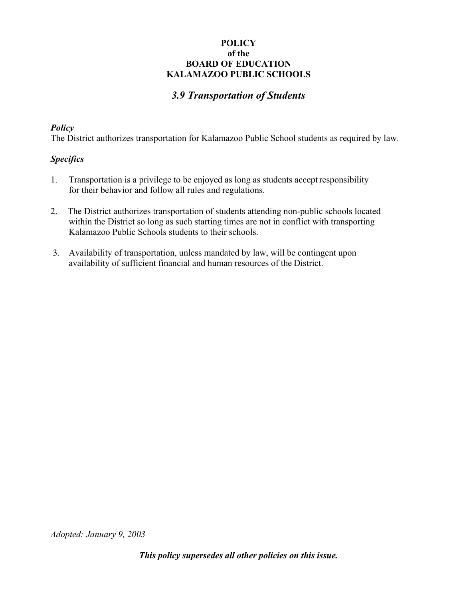# *3.9 Transportation of Students*

#### *Policy*

The District authorizes transportation for Kalamazoo Public School students as required by law.

## *Specifics*

- 1. Transportation is a privilege to be enjoyed as long as students accept responsibility for their behavior and follow all rules and regulations.
- 2. The District authorizes transportation of students attending non-public schools located within the District so long as such starting times are not in conflict with transporting Kalamazoo Public Schools students to their schools.
- 3. Availability of transportation, unless mandated by law, will be contingent upon availability of sufficient financial and human resources of the District.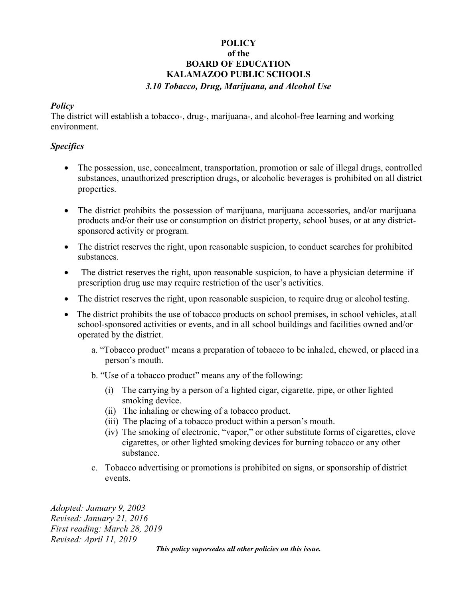## **POLICY of the BOARD OF EDUCATION KALAMAZOO PUBLIC SCHOOLS**  *3.10 Tobacco, Drug, Marijuana, and Alcohol Use*

#### *Policy*

The district will establish a tobacco-, drug-, marijuana-, and alcohol-free learning and working environment.

## *Specifics*

- The possession, use, concealment, transportation, promotion or sale of illegal drugs, controlled substances, unauthorized prescription drugs, or alcoholic beverages is prohibited on all district properties.
- The district prohibits the possession of marijuana, marijuana accessories, and/or marijuana products and/or their use or consumption on district property, school buses, or at any districtsponsored activity or program.
- The district reserves the right, upon reasonable suspicion, to conduct searches for prohibited substances.
- The district reserves the right, upon reasonable suspicion, to have a physician determine if prescription drug use may require restriction of the user's activities.
- The district reserves the right, upon reasonable suspicion, to require drug or alcohol testing.
- The district prohibits the use of tobacco products on school premises, in school vehicles, at all school-sponsored activities or events, and in all school buildings and facilities owned and/or operated by the district.
	- a. "Tobacco product" means a preparation of tobacco to be inhaled, chewed, or placed in a person's mouth.
	- b. "Use of a tobacco product" means any of the following:
		- (i) The carrying by a person of a lighted cigar, cigarette, pipe, or other lighted smoking device.
		- (ii) The inhaling or chewing of a tobacco product.
		- (iii) The placing of a tobacco product within a person's mouth.
		- (iv) The smoking of electronic, "vapor," or other substitute forms of cigarettes, clove cigarettes, or other lighted smoking devices for burning tobacco or any other substance.
	- c. Tobacco advertising or promotions is prohibited on signs, or sponsorship of district events.

*Adopted: January 9, 2003 Revised: January 21, 2016 First reading: March 28, 2019 Revised: April 11, 2019*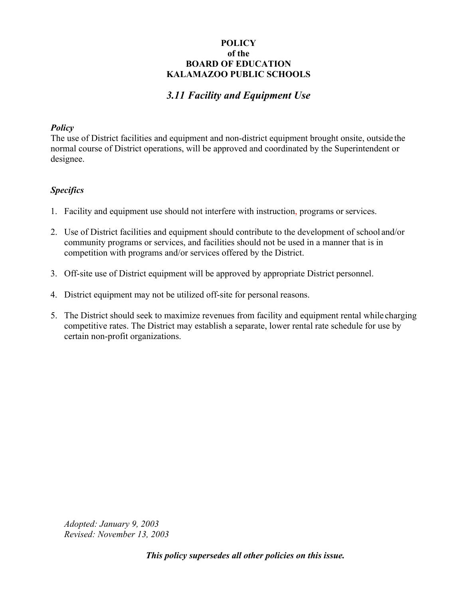# *3.11 Facility and Equipment Use*

#### *Policy*

The use of District facilities and equipment and non-district equipment brought onsite, outside the normal course of District operations, will be approved and coordinated by the Superintendent or designee.

## *Specifics*

- 1. Facility and equipment use should not interfere with instruction, programs or services.
- 2. Use of District facilities and equipment should contribute to the development of school and/or community programs or services, and facilities should not be used in a manner that is in competition with programs and/or services offered by the District.
- 3. Off-site use of District equipment will be approved by appropriate District personnel.
- 4. District equipment may not be utilized off-site for personal reasons.
- 5. The District should seek to maximize revenues from facility and equipment rental while charging competitive rates. The District may establish a separate, lower rental rate schedule for use by certain non-profit organizations.

*Adopted: January 9, 2003 Revised: November 13, 2003*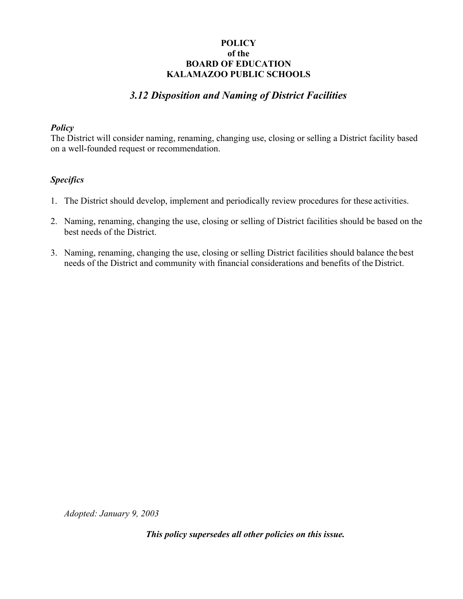# *3.12 Disposition and Naming of District Facilities*

#### *Policy*

The District will consider naming, renaming, changing use, closing or selling a District facility based on a well-founded request or recommendation.

## *Specifics*

- 1. The District should develop, implement and periodically review procedures for these activities.
- 2. Naming, renaming, changing the use, closing or selling of District facilities should be based on the best needs of the District.
- 3. Naming, renaming, changing the use, closing or selling District facilities should balance the best needs of the District and community with financial considerations and benefits of the District.

*Adopted: January 9, 2003*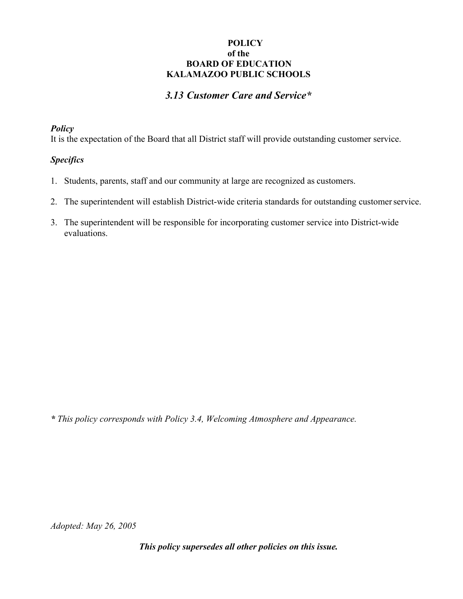# *3.13 Customer Care and Service\**

#### *Policy*

It is the expectation of the Board that all District staff will provide outstanding customer service.

## *Specifics*

- 1. Students, parents, staff and our community at large are recognized as customers.
- 2. The superintendent will establish District-wide criteria standards for outstanding customer service.
- 3. The superintendent will be responsible for incorporating customer service into District-wide evaluations.

*\* This policy corresponds with Policy 3.4, Welcoming Atmosphere and Appearance.* 

*Adopted: May 26, 2005*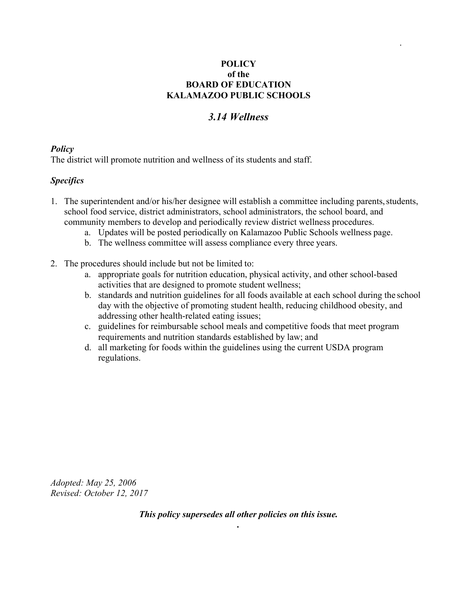.

# *3.14 Wellness*

## *Policy*

The district will promote nutrition and wellness of its students and staff.

## *Specifics*

- 1. The superintendent and/or his/her designee will establish a committee including parents, students, school food service, district administrators, school administrators, the school board, and community members to develop and periodically review district wellness procedures.
	- a. Updates will be posted periodically on Kalamazoo Public Schools wellness page.
	- b. The wellness committee will assess compliance every three years.
- 2. The procedures should include but not be limited to:
	- a. appropriate goals for nutrition education, physical activity, and other school-based activities that are designed to promote student wellness;
	- b. standards and nutrition guidelines for all foods available at each school during the school day with the objective of promoting student health, reducing childhood obesity, and addressing other health-related eating issues;
	- c. guidelines for reimbursable school meals and competitive foods that meet program requirements and nutrition standards established by law; and
	- d. all marketing for foods within the guidelines using the current USDA program regulations.

*Adopted: May 25, 2006 Revised: October 12, 2017*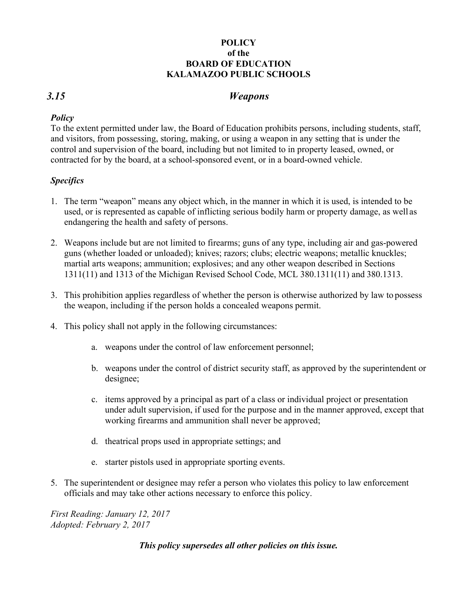## *3.15 Weapons*

## *Policy*

To the extent permitted under law, the Board of Education prohibits persons, including students, staff, and visitors, from possessing, storing, making, or using a weapon in any setting that is under the control and supervision of the board, including but not limited to in property leased, owned, or contracted for by the board, at a school-sponsored event, or in a board-owned vehicle.

## *Specifics*

- 1. The term "weapon" means any object which, in the manner in which it is used, is intended to be used, or is represented as capable of inflicting serious bodily harm or property damage, as well as endangering the health and safety of persons.
- 2. Weapons include but are not limited to firearms; guns of any type, including air and gas-powered guns (whether loaded or unloaded); knives; razors; clubs; electric weapons; metallic knuckles; martial arts weapons; ammunition; explosives; and any other weapon described in Sections 1311(11) and 1313 of the Michigan Revised School Code, MCL 380.1311(11) and 380.1313.
- 3. This prohibition applies regardless of whether the person is otherwise authorized by law to possess the weapon, including if the person holds a concealed weapons permit.
- 4. This policy shall not apply in the following circumstances:
	- a. weapons under the control of law enforcement personnel;
	- b. weapons under the control of district security staff, as approved by the superintendent or designee;
	- c. items approved by a principal as part of a class or individual project or presentation under adult supervision, if used for the purpose and in the manner approved, except that working firearms and ammunition shall never be approved;
	- d. theatrical props used in appropriate settings; and
	- e. starter pistols used in appropriate sporting events.
- 5. The superintendent or designee may refer a person who violates this policy to law enforcement officials and may take other actions necessary to enforce this policy.

*First Reading: January 12, 2017 Adopted: February 2, 2017*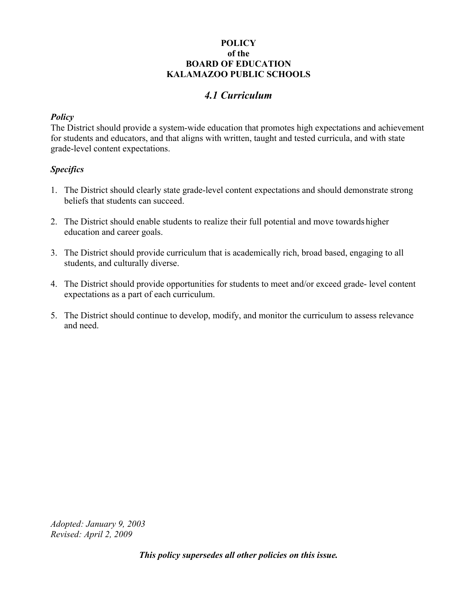# *4.1 Curriculum*

## *Policy*

The District should provide a system-wide education that promotes high expectations and achievement for students and educators, and that aligns with written, taught and tested curricula, and with state grade-level content expectations.

## *Specifics*

- 1. The District should clearly state grade-level content expectations and should demonstrate strong beliefs that students can succeed.
- 2. The District should enable students to realize their full potential and move towards higher education and career goals.
- 3. The District should provide curriculum that is academically rich, broad based, engaging to all students, and culturally diverse.
- 4. The District should provide opportunities for students to meet and/or exceed grade- level content expectations as a part of each curriculum.
- 5. The District should continue to develop, modify, and monitor the curriculum to assess relevance and need.

*Adopted: January 9, 2003 Revised: April 2, 2009*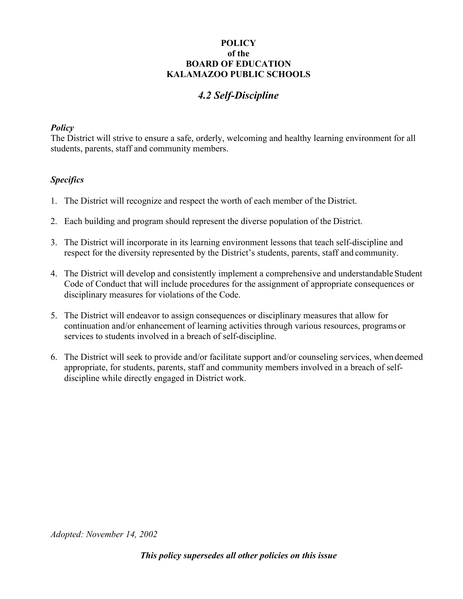# *4.2 Self-Discipline*

## *Policy*

The District will strive to ensure a safe, orderly, welcoming and healthy learning environment for all students, parents, staff and community members.

## *Specifics*

- 1. The District will recognize and respect the worth of each member of the District.
- 2. Each building and program should represent the diverse population of the District.
- 3. The District will incorporate in its learning environment lessons that teach self-discipline and respect for the diversity represented by the District's students, parents, staff and community.
- 4. The District will develop and consistently implement a comprehensive and understandable Student Code of Conduct that will include procedures for the assignment of appropriate consequences or disciplinary measures for violations of the Code.
- 5. The District will endeavor to assign consequences or disciplinary measures that allow for continuation and/or enhancement of learning activities through various resources, programs or services to students involved in a breach of self-discipline.
- 6. The District will seek to provide and/or facilitate support and/or counseling services, when deemed appropriate, for students, parents, staff and community members involved in a breach of selfdiscipline while directly engaged in District work.

*Adopted: November 14, 2002*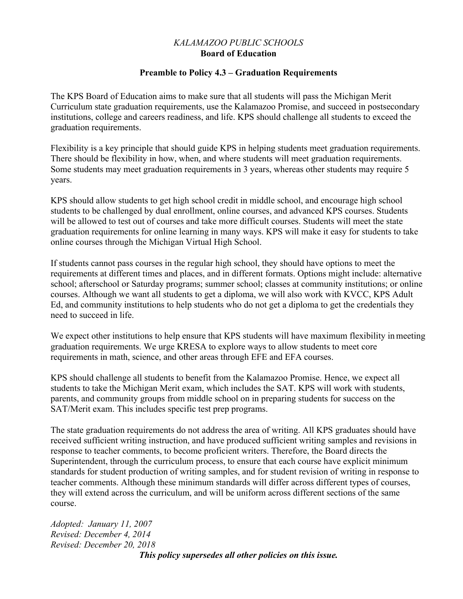## *KALAMAZOO PUBLIC SCHOOLS*  **Board of Education**

#### **Preamble to Policy 4.3 – Graduation Requirements**

The KPS Board of Education aims to make sure that all students will pass the Michigan Merit Curriculum state graduation requirements, use the Kalamazoo Promise, and succeed in postsecondary institutions, college and careers readiness, and life. KPS should challenge all students to exceed the graduation requirements.

Flexibility is a key principle that should guide KPS in helping students meet graduation requirements. There should be flexibility in how, when, and where students will meet graduation requirements. Some students may meet graduation requirements in 3 years, whereas other students may require 5 years.

KPS should allow students to get high school credit in middle school, and encourage high school students to be challenged by dual enrollment, online courses, and advanced KPS courses. Students will be allowed to test out of courses and take more difficult courses. Students will meet the state graduation requirements for online learning in many ways. KPS will make it easy for students to take online courses through the Michigan Virtual High School.

If students cannot pass courses in the regular high school, they should have options to meet the requirements at different times and places, and in different formats. Options might include: alternative school; afterschool or Saturday programs; summer school; classes at community institutions; or online courses. Although we want all students to get a diploma, we will also work with KVCC, KPS Adult Ed, and community institutions to help students who do not get a diploma to get the credentials they need to succeed in life.

We expect other institutions to help ensure that KPS students will have maximum flexibility in meeting graduation requirements. We urge KRESA to explore ways to allow students to meet core requirements in math, science, and other areas through EFE and EFA courses.

KPS should challenge all students to benefit from the Kalamazoo Promise. Hence, we expect all students to take the Michigan Merit exam, which includes the SAT. KPS will work with students, parents, and community groups from middle school on in preparing students for success on the SAT/Merit exam. This includes specific test prep programs.

The state graduation requirements do not address the area of writing. All KPS graduates should have received sufficient writing instruction, and have produced sufficient writing samples and revisions in response to teacher comments, to become proficient writers. Therefore, the Board directs the Superintendent, through the curriculum process, to ensure that each course have explicit minimum standards for student production of writing samples, and for student revision of writing in response to teacher comments. Although these minimum standards will differ across different types of courses, they will extend across the curriculum, and will be uniform across different sections of the same course.

*Adopted: January 11, 2007 Revised: December 4, 2014 Revised: December 20, 2018 This policy supersedes all other policies on this issue.*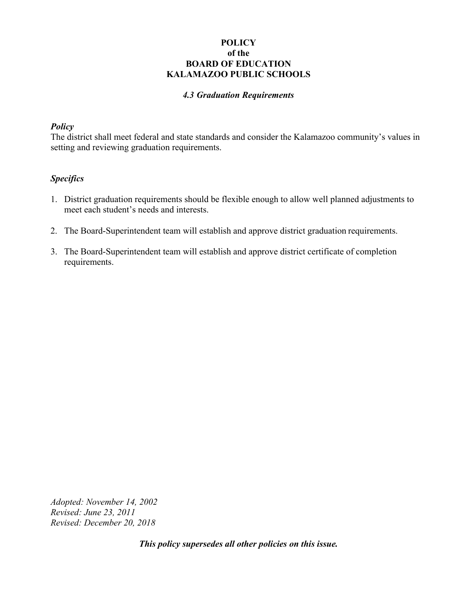#### *4.3 Graduation Requirements*

#### *Policy*

The district shall meet federal and state standards and consider the Kalamazoo community's values in setting and reviewing graduation requirements.

#### *Specifics*

- 1. District graduation requirements should be flexible enough to allow well planned adjustments to meet each student's needs and interests.
- 2. The Board-Superintendent team will establish and approve district graduation requirements.
- 3. The Board-Superintendent team will establish and approve district certificate of completion requirements.

*Adopted: November 14, 2002 Revised: June 23, 2011 Revised: December 20, 2018*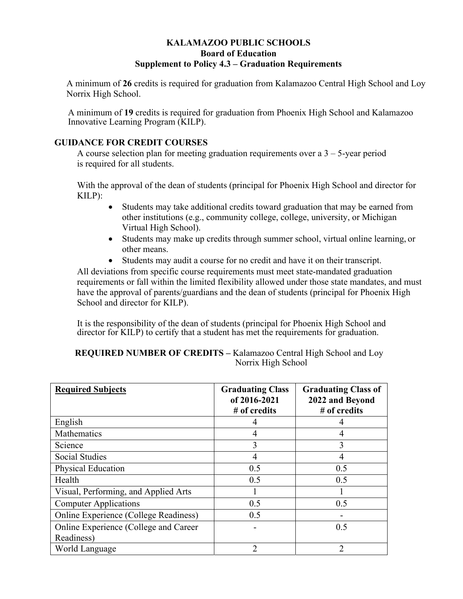## **KALAMAZOO PUBLIC SCHOOLS Board of Education Supplement to Policy 4.3 – Graduation Requirements**

A minimum of **26** credits is required for graduation from Kalamazoo Central High School and Loy Norrix High School.

A minimum of **19** credits is required for graduation from Phoenix High School and Kalamazoo Innovative Learning Program (KILP).

#### **GUIDANCE FOR CREDIT COURSES**

A course selection plan for meeting graduation requirements over a 3 – 5-year period is required for all students.

With the approval of the dean of students (principal for Phoenix High School and director for KILP):

- Students may take additional credits toward graduation that may be earned from other institutions (e.g., community college, college, university, or Michigan Virtual High School).
- Students may make up credits through summer school, virtual online learning, or other means.
- Students may audit a course for no credit and have it on their transcript.

All deviations from specific course requirements must meet state-mandated graduation requirements or fall within the limited flexibility allowed under those state mandates, and must have the approval of parents/guardians and the dean of students (principal for Phoenix High School and director for KILP).

It is the responsibility of the dean of students (principal for Phoenix High School and director for KILP) to certify that a student has met the requirements for graduation.

#### **REQUIRED NUMBER OF CREDITS –** Kalamazoo Central High School and Loy Norrix High School

| <b>Required Subjects</b>              | <b>Graduating Class</b><br>of 2016-2021<br># of credits | <b>Graduating Class of</b><br>2022 and Beyond<br># of credits |
|---------------------------------------|---------------------------------------------------------|---------------------------------------------------------------|
| English                               |                                                         |                                                               |
| Mathematics                           | 4                                                       | 4                                                             |
| Science                               | 3                                                       | 3                                                             |
| <b>Social Studies</b>                 | 4                                                       | 4                                                             |
| <b>Physical Education</b>             | 0.5                                                     | 0.5                                                           |
| Health                                | 0.5                                                     | 0.5                                                           |
| Visual, Performing, and Applied Arts  |                                                         |                                                               |
| <b>Computer Applications</b>          | 0.5                                                     | 0.5                                                           |
| Online Experience (College Readiness) | 0.5                                                     |                                                               |
| Online Experience (College and Career |                                                         | 0.5                                                           |
| Readiness)                            |                                                         |                                                               |
| World Language                        | າ                                                       | $\mathfrak{D}$                                                |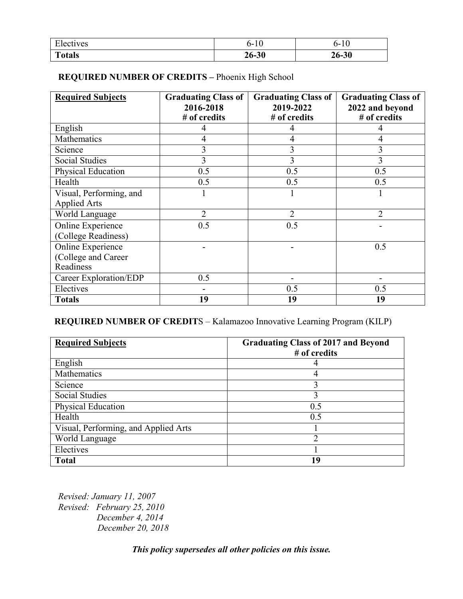| T <sub>1</sub>   | ტ-        | ს-        |
|------------------|-----------|-----------|
| <b>Electives</b> | <b>TU</b> | 'IU       |
| <b>Totals</b>    | 26-30     | $26 - 30$ |

## **REQUIRED NUMBER OF CREDITS –** Phoenix High School

| <b>Required Subjects</b> | <b>Graduating Class of</b> | <b>Graduating Class of</b> | <b>Graduating Class of</b> |
|--------------------------|----------------------------|----------------------------|----------------------------|
|                          | 2016-2018                  | 2019-2022                  | 2022 and beyond            |
|                          | # of credits               | # of credits               | # of credits               |
| English                  | 4                          | 4                          |                            |
| Mathematics              | 4                          | 4                          | 4                          |
| Science                  | 3                          | 3                          | 3                          |
| <b>Social Studies</b>    | 3                          | 3                          | 3                          |
| Physical Education       | 0.5                        | 0.5                        | 0.5                        |
| Health                   | 0.5                        | 0.5                        | 0.5                        |
| Visual, Performing, and  |                            |                            |                            |
| <b>Applied Arts</b>      |                            |                            |                            |
| World Language           | $\overline{2}$             | $\overline{2}$             | $\overline{2}$             |
| Online Experience        | 0.5                        | 0.5                        |                            |
| (College Readiness)      |                            |                            |                            |
| Online Experience        |                            |                            | 0.5                        |
| (College and Career      |                            |                            |                            |
| Readiness                |                            |                            |                            |
| Career Exploration/EDP   | 0.5                        |                            |                            |
| Electives                |                            | 0.5                        | 0.5                        |
| <b>Totals</b>            | 19                         | 19                         | 19                         |

# **REQUIRED NUMBER OF CREDIT**S – Kalamazoo Innovative Learning Program (KILP)

| <b>Required Subjects</b>             | <b>Graduating Class of 2017 and Beyond</b><br># of credits |
|--------------------------------------|------------------------------------------------------------|
| English                              | 4                                                          |
| Mathematics                          | 4                                                          |
| Science                              | 3                                                          |
| <b>Social Studies</b>                | 3                                                          |
| Physical Education                   | 0.5                                                        |
| Health                               | 0.5                                                        |
| Visual, Performing, and Applied Arts |                                                            |
| World Language                       | າ                                                          |
| Electives                            |                                                            |
| <b>Total</b>                         | 19                                                         |

*Revised: January 11, 2007 Revised: February 25, 2010 December 4, 2014 December 20, 2018*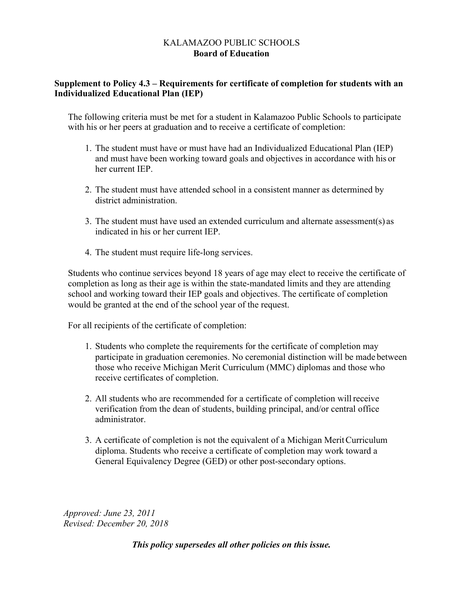#### KALAMAZOO PUBLIC SCHOOLS **Board of Education**

## **Supplement to Policy 4.3 – Requirements for certificate of completion for students with an Individualized Educational Plan (IEP)**

The following criteria must be met for a student in Kalamazoo Public Schools to participate with his or her peers at graduation and to receive a certificate of completion:

- 1. The student must have or must have had an Individualized Educational Plan (IEP) and must have been working toward goals and objectives in accordance with his or her current IEP.
- 2. The student must have attended school in a consistent manner as determined by district administration.
- 3. The student must have used an extended curriculum and alternate assessment(s) as indicated in his or her current IEP.
- 4. The student must require life-long services.

Students who continue services beyond 18 years of age may elect to receive the certificate of completion as long as their age is within the state-mandated limits and they are attending school and working toward their IEP goals and objectives. The certificate of completion would be granted at the end of the school year of the request.

For all recipients of the certificate of completion:

- 1. Students who complete the requirements for the certificate of completion may participate in graduation ceremonies. No ceremonial distinction will be made between those who receive Michigan Merit Curriculum (MMC) diplomas and those who receive certificates of completion.
- 2. All students who are recommended for a certificate of completion will receive verification from the dean of students, building principal, and/or central office administrator.
- 3. A certificate of completion is not the equivalent of a Michigan Merit Curriculum diploma. Students who receive a certificate of completion may work toward a General Equivalency Degree (GED) or other post-secondary options.

*Approved: June 23, 2011 Revised: December 20, 2018*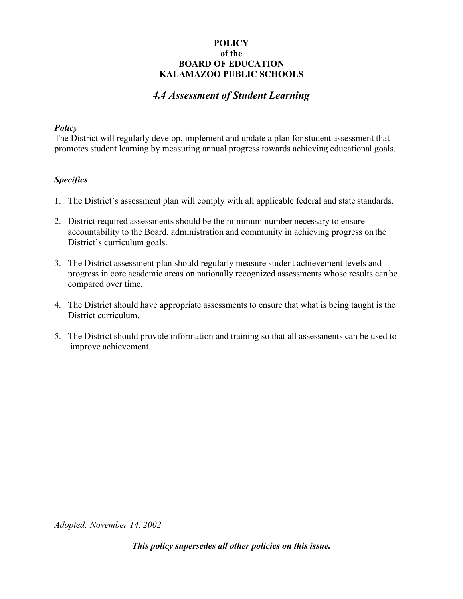## *4.4 Assessment of Student Learning*

#### *Policy*

The District will regularly develop, implement and update a plan for student assessment that promotes student learning by measuring annual progress towards achieving educational goals.

#### *Specifics*

- 1. The District's assessment plan will comply with all applicable federal and state standards.
- 2. District required assessments should be the minimum number necessary to ensure accountability to the Board, administration and community in achieving progress on the District's curriculum goals.
- 3. The District assessment plan should regularly measure student achievement levels and progress in core academic areas on nationally recognized assessments whose results can be compared over time.
- 4. The District should have appropriate assessments to ensure that what is being taught is the District curriculum.
- 5. The District should provide information and training so that all assessments can be used to improve achievement.

*Adopted: November 14, 2002*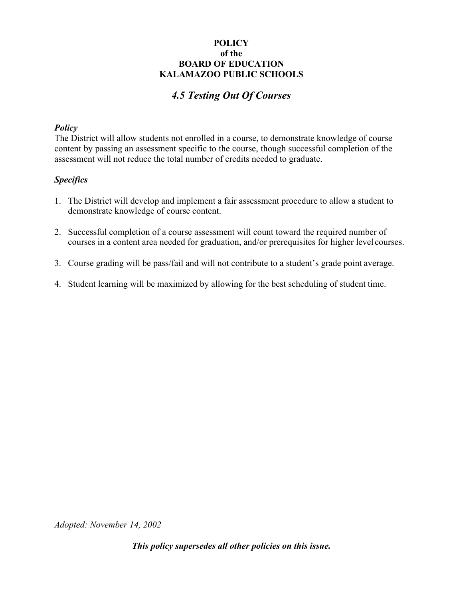# *4.5 Testing Out Of Courses*

#### *Policy*

The District will allow students not enrolled in a course, to demonstrate knowledge of course content by passing an assessment specific to the course, though successful completion of the assessment will not reduce the total number of credits needed to graduate.

#### *Specifics*

- 1. The District will develop and implement a fair assessment procedure to allow a student to demonstrate knowledge of course content.
- 2. Successful completion of a course assessment will count toward the required number of courses in a content area needed for graduation, and/or prerequisites for higher level courses.
- 3. Course grading will be pass/fail and will not contribute to a student's grade point average.
- 4. Student learning will be maximized by allowing for the best scheduling of student time.

*Adopted: November 14, 2002*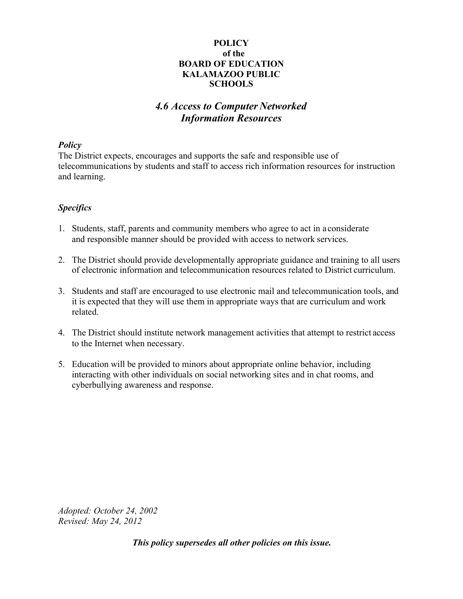# *4.6 Access to Computer Networked Information Resources*

#### *Policy*

The District expects, encourages and supports the safe and responsible use of telecommunications by students and staff to access rich information resources for instruction and learning.

## *Specifics*

- 1. Students, staff, parents and community members who agree to act in a considerate and responsible manner should be provided with access to network services.
- 2. The District should provide developmentally appropriate guidance and training to all users of electronic information and telecommunication resources related to District curriculum.
- 3. Students and staff are encouraged to use electronic mail and telecommunication tools, and it is expected that they will use them in appropriate ways that are curriculum and work related.
- 4. The District should institute network management activities that attempt to restrict access to the Internet when necessary.
- 5. Education will be provided to minors about appropriate online behavior, including interacting with other individuals on social networking sites and in chat rooms, and cyberbullying awareness and response.

*Adopted: October 24, 2002 Revised: May 24, 2012*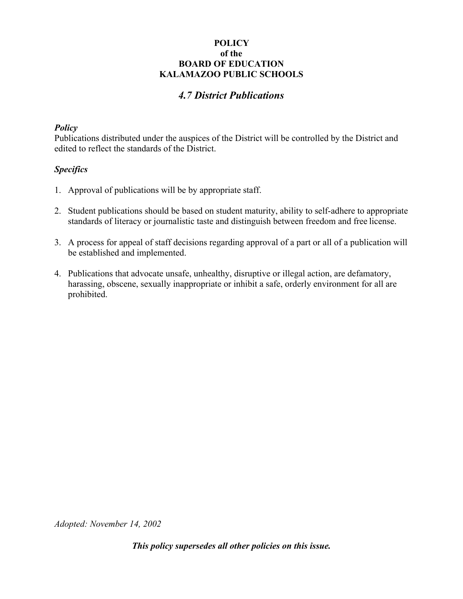# *4.7 District Publications*

#### *Policy*

Publications distributed under the auspices of the District will be controlled by the District and edited to reflect the standards of the District.

#### *Specifics*

- 1. Approval of publications will be by appropriate staff.
- 2. Student publications should be based on student maturity, ability to self-adhere to appropriate standards of literacy or journalistic taste and distinguish between freedom and free license.
- 3. A process for appeal of staff decisions regarding approval of a part or all of a publication will be established and implemented.
- 4. Publications that advocate unsafe, unhealthy, disruptive or illegal action, are defamatory, harassing, obscene, sexually inappropriate or inhibit a safe, orderly environment for all are prohibited.

*Adopted: November 14, 2002*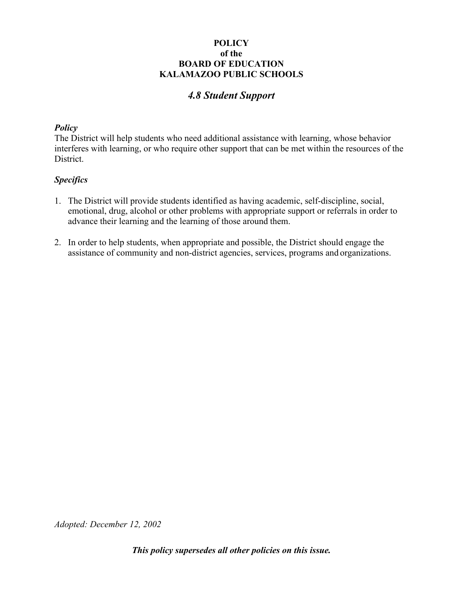# *4.8 Student Support*

#### *Policy*

The District will help students who need additional assistance with learning, whose behavior interferes with learning, or who require other support that can be met within the resources of the District.

## *Specifics*

- 1. The District will provide students identified as having academic, self-discipline, social, emotional, drug, alcohol or other problems with appropriate support or referrals in order to advance their learning and the learning of those around them.
- 2. In order to help students, when appropriate and possible, the District should engage the assistance of community and non-district agencies, services, programs and organizations.

*Adopted: December 12, 2002*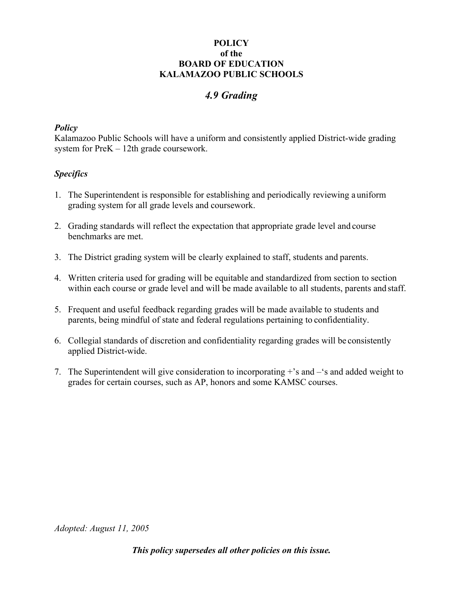# *4.9 Grading*

#### *Policy*

Kalamazoo Public Schools will have a uniform and consistently applied District-wide grading system for PreK – 12th grade coursework.

## *Specifics*

- 1. The Superintendent is responsible for establishing and periodically reviewing a uniform grading system for all grade levels and coursework.
- 2. Grading standards will reflect the expectation that appropriate grade level and course benchmarks are met.
- 3. The District grading system will be clearly explained to staff, students and parents.
- 4. Written criteria used for grading will be equitable and standardized from section to section within each course or grade level and will be made available to all students, parents and staff.
- 5. Frequent and useful feedback regarding grades will be made available to students and parents, being mindful of state and federal regulations pertaining to confidentiality.
- 6. Collegial standards of discretion and confidentiality regarding grades will be consistently applied District-wide.
- 7. The Superintendent will give consideration to incorporating +'s and –'s and added weight to grades for certain courses, such as AP, honors and some KAMSC courses.

*Adopted: August 11, 2005*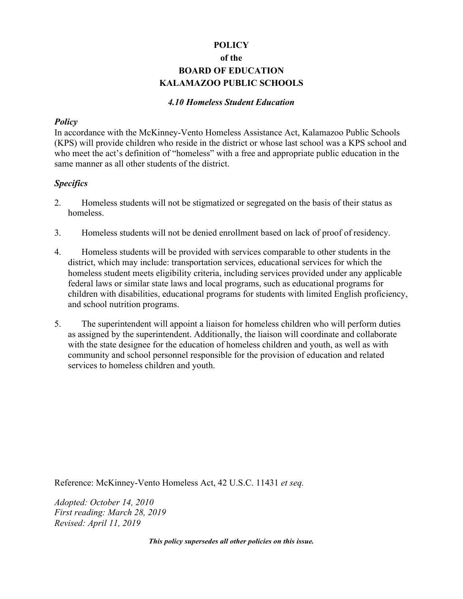#### *4.10 Homeless Student Education*

#### *Policy*

In accordance with the McKinney-Vento Homeless Assistance Act, Kalamazoo Public Schools (KPS) will provide children who reside in the district or whose last school was a KPS school and who meet the act's definition of "homeless" with a free and appropriate public education in the same manner as all other students of the district.

#### *Specifics*

- 2. Homeless students will not be stigmatized or segregated on the basis of their status as homeless.
- 3. Homeless students will not be denied enrollment based on lack of proof of residency.
- 4. Homeless students will be provided with services comparable to other students in the district, which may include: transportation services, educational services for which the homeless student meets eligibility criteria, including services provided under any applicable federal laws or similar state laws and local programs, such as educational programs for children with disabilities, educational programs for students with limited English proficiency, and school nutrition programs.
- 5. The superintendent will appoint a liaison for homeless children who will perform duties as assigned by the superintendent. Additionally, the liaison will coordinate and collaborate with the state designee for the education of homeless children and youth, as well as with community and school personnel responsible for the provision of education and related services to homeless children and youth.

Reference: McKinney-Vento Homeless Act, 42 U.S.C. 11431 *et seq.* 

*Adopted: October 14, 2010 First reading: March 28, 2019 Revised: April 11, 2019*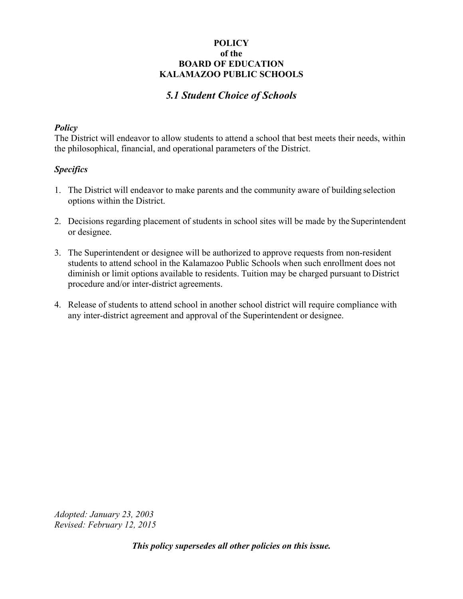# *5.1 Student Choice of Schools*

#### *Policy*

The District will endeavor to allow students to attend a school that best meets their needs, within the philosophical, financial, and operational parameters of the District.

#### *Specifics*

- 1. The District will endeavor to make parents and the community aware of building selection options within the District.
- 2. Decisions regarding placement of students in school sites will be made by the Superintendent or designee.
- 3. The Superintendent or designee will be authorized to approve requests from non-resident students to attend school in the Kalamazoo Public Schools when such enrollment does not diminish or limit options available to residents. Tuition may be charged pursuant to District procedure and/or inter-district agreements.
- 4. Release of students to attend school in another school district will require compliance with any inter-district agreement and approval of the Superintendent or designee.

*Adopted: January 23, 2003 Revised: February 12, 2015*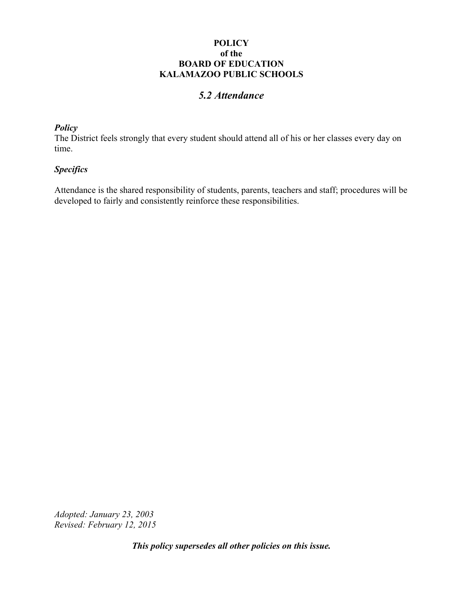## *5.2 Attendance*

## *Policy*

The District feels strongly that every student should attend all of his or her classes every day on time.

#### *Specifics*

Attendance is the shared responsibility of students, parents, teachers and staff; procedures will be developed to fairly and consistently reinforce these responsibilities.

*Adopted: January 23, 2003 Revised: February 12, 2015*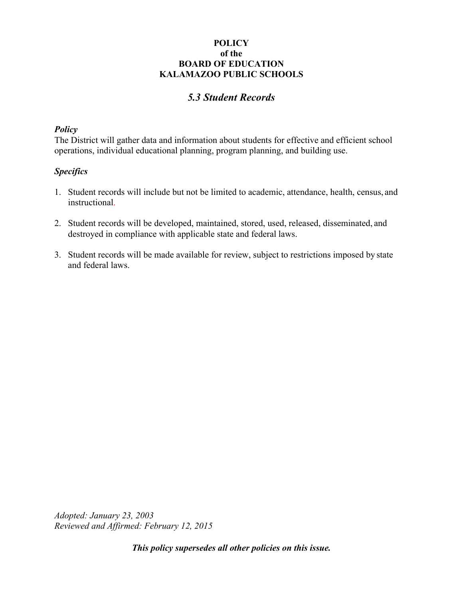# *5.3 Student Records*

#### *Policy*

The District will gather data and information about students for effective and efficient school operations, individual educational planning, program planning, and building use.

#### *Specifics*

- 1. Student records will include but not be limited to academic, attendance, health, census, and instructional.
- 2. Student records will be developed, maintained, stored, used, released, disseminated, and destroyed in compliance with applicable state and federal laws.
- 3. Student records will be made available for review, subject to restrictions imposed by state and federal laws.

*Adopted: January 23, 2003 Reviewed and Affirmed: February 12, 2015*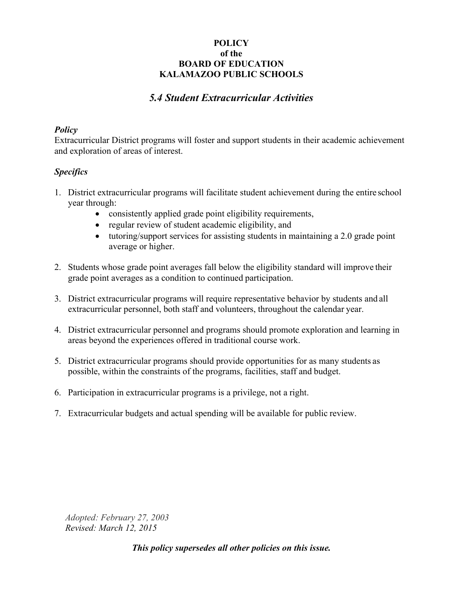## *5.4 Student Extracurricular Activities*

#### *Policy*

Extracurricular District programs will foster and support students in their academic achievement and exploration of areas of interest.

#### *Specifics*

- 1. District extracurricular programs will facilitate student achievement during the entire school year through:
	- consistently applied grade point eligibility requirements,
	- regular review of student academic eligibility, and
	- tutoring/support services for assisting students in maintaining a 2.0 grade point average or higher.
- 2. Students whose grade point averages fall below the eligibility standard will improve their grade point averages as a condition to continued participation.
- 3. District extracurricular programs will require representative behavior by students and all extracurricular personnel, both staff and volunteers, throughout the calendar year.
- 4. District extracurricular personnel and programs should promote exploration and learning in areas beyond the experiences offered in traditional course work.
- 5. District extracurricular programs should provide opportunities for as many students as possible, within the constraints of the programs, facilities, staff and budget.
- 6. Participation in extracurricular programs is a privilege, not a right.
- 7. Extracurricular budgets and actual spending will be available for public review.

*Adopted: February 27, 2003 Revised: March 12, 2015*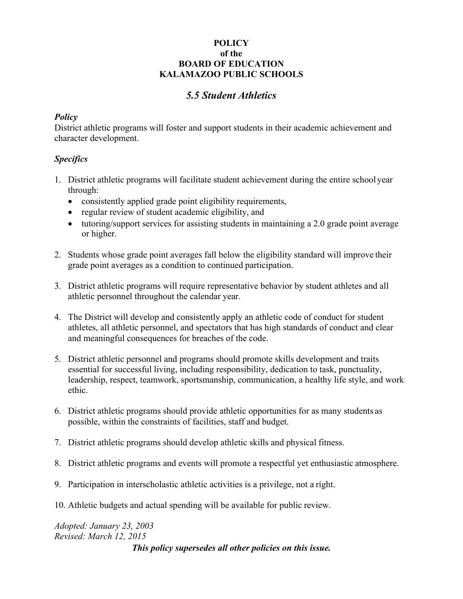# *5.5 Student Athletics*

## *Policy*

District athletic programs will foster and support students in their academic achievement and character development.

## *Specifics*

- 1. District athletic programs will facilitate student achievement during the entire school year through:
	- consistently applied grade point eligibility requirements,
	- regular review of student academic eligibility, and
	- tutoring/support services for assisting students in maintaining a 2.0 grade point average or higher.
- 2. Students whose grade point averages fall below the eligibility standard will improve their grade point averages as a condition to continued participation.
- 3. District athletic programs will require representative behavior by student athletes and all athletic personnel throughout the calendar year.
- 4. The District will develop and consistently apply an athletic code of conduct for student athletes, all athletic personnel, and spectators that has high standards of conduct and clear and meaningful consequences for breaches of the code.
- 5. District athletic personnel and programs should promote skills development and traits essential for successful living, including responsibility, dedication to task, punctuality, leadership, respect, teamwork, sportsmanship, communication, a healthy life style, and work ethic.
- 6. District athletic programs should provide athletic opportunities for as many students as possible, within the constraints of facilities, staff and budget.
- 7. District athletic programs should develop athletic skills and physical fitness.
- 8. District athletic programs and events will promote a respectful yet enthusiastic atmosphere.
- 9. Participation in interscholastic athletic activities is a privilege, not a right.
- 10. Athletic budgets and actual spending will be available for public review.

# *Adopted: January 23, 2003 Revised: March 12, 2015*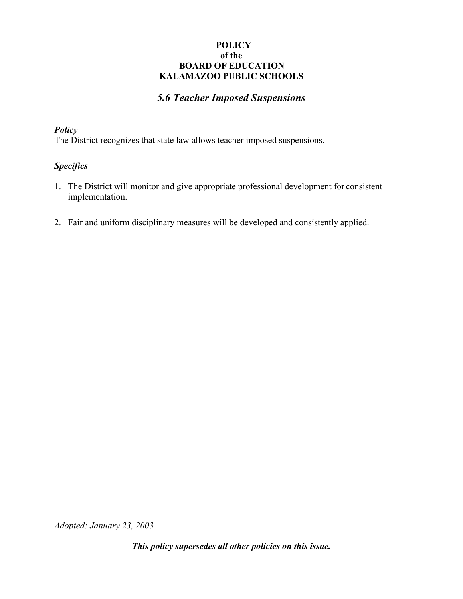## *5.6 Teacher Imposed Suspensions*

#### *Policy*

The District recognizes that state law allows teacher imposed suspensions.

## *Specifics*

- 1. The District will monitor and give appropriate professional development for consistent implementation.
- 2. Fair and uniform disciplinary measures will be developed and consistently applied.

*Adopted: January 23, 2003*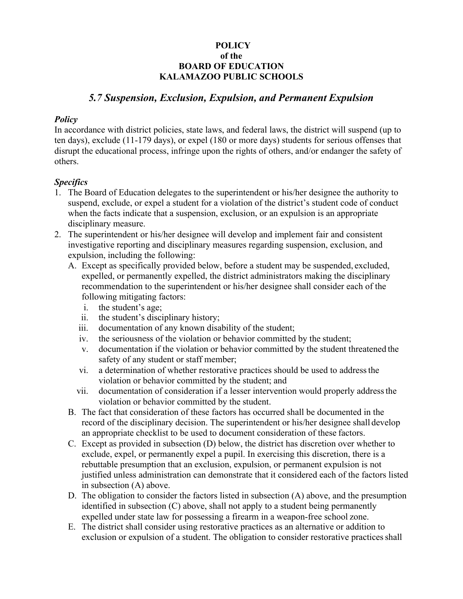# *5.7 Suspension, Exclusion, Expulsion, and Permanent Expulsion*

#### *Policy*

In accordance with district policies, state laws, and federal laws, the district will suspend (up to ten days), exclude (11-179 days), or expel (180 or more days) students for serious offenses that disrupt the educational process, infringe upon the rights of others, and/or endanger the safety of others.

## *Specifics*

- 1. The Board of Education delegates to the superintendent or his/her designee the authority to suspend, exclude, or expel a student for a violation of the district's student code of conduct when the facts indicate that a suspension, exclusion, or an expulsion is an appropriate disciplinary measure.
- 2. The superintendent or his/her designee will develop and implement fair and consistent investigative reporting and disciplinary measures regarding suspension, exclusion, and expulsion, including the following:
	- A. Except as specifically provided below, before a student may be suspended, excluded, expelled, or permanently expelled, the district administrators making the disciplinary recommendation to the superintendent or his/her designee shall consider each of the following mitigating factors:
		- i. the student's age;
		- ii. the student's disciplinary history;
		- iii. documentation of any known disability of the student;
		- iv. the seriousness of the violation or behavior committed by the student;
		- v. documentation if the violation or behavior committed by the student threatened the safety of any student or staff member;
		- vi. a determination of whether restorative practices should be used to address the violation or behavior committed by the student; and
		- vii. documentation of consideration if a lesser intervention would properly address the violation or behavior committed by the student.
	- B. The fact that consideration of these factors has occurred shall be documented in the record of the disciplinary decision. The superintendent or his/her designee shall develop an appropriate checklist to be used to document consideration of these factors.
	- C. Except as provided in subsection (D) below, the district has discretion over whether to exclude, expel, or permanently expel a pupil. In exercising this discretion, there is a rebuttable presumption that an exclusion, expulsion, or permanent expulsion is not justified unless administration can demonstrate that it considered each of the factors listed in subsection (A) above.
	- D. The obligation to consider the factors listed in subsection (A) above, and the presumption identified in subsection (C) above, shall not apply to a student being permanently expelled under state law for possessing a firearm in a weapon-free school zone.
	- E. The district shall consider using restorative practices as an alternative or addition to exclusion or expulsion of a student. The obligation to consider restorative practices shall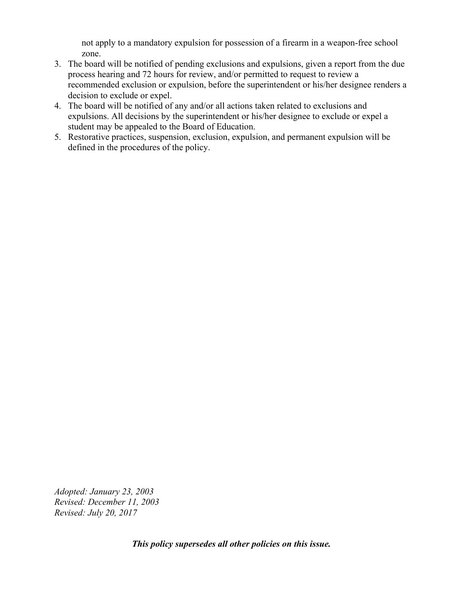not apply to a mandatory expulsion for possession of a firearm in a weapon-free school zone.

- 3. The board will be notified of pending exclusions and expulsions, given a report from the due process hearing and 72 hours for review, and/or permitted to request to review a recommended exclusion or expulsion, before the superintendent or his/her designee renders a decision to exclude or expel.
- 4. The board will be notified of any and/or all actions taken related to exclusions and expulsions. All decisions by the superintendent or his/her designee to exclude or expel a student may be appealed to the Board of Education.
- 5. Restorative practices, suspension, exclusion, expulsion, and permanent expulsion will be defined in the procedures of the policy.

*Adopted: January 23, 2003 Revised: December 11, 2003 Revised: July 20, 2017*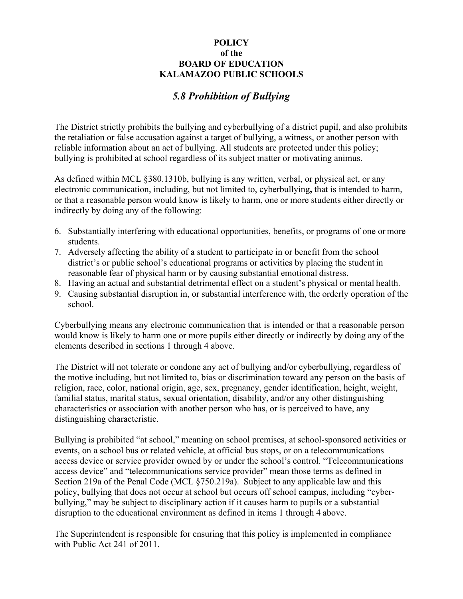# *5.8 Prohibition of Bullying*

The District strictly prohibits the bullying and cyberbullying of a district pupil, and also prohibits the retaliation or false accusation against a target of bullying, a witness, or another person with reliable information about an act of bullying. All students are protected under this policy; bullying is prohibited at school regardless of its subject matter or motivating animus.

As defined within MCL §380.1310b, bullying is any written, verbal, or physical act, or any electronic communication, including, but not limited to, cyberbullying**,** that is intended to harm, or that a reasonable person would know is likely to harm, one or more students either directly or indirectly by doing any of the following:

- 6. Substantially interfering with educational opportunities, benefits, or programs of one or more students.
- 7. Adversely affecting the ability of a student to participate in or benefit from the school district's or public school's educational programs or activities by placing the student in reasonable fear of physical harm or by causing substantial emotional distress.
- 8. Having an actual and substantial detrimental effect on a student's physical or mental health.
- 9. Causing substantial disruption in, or substantial interference with, the orderly operation of the school.

Cyberbullying means any electronic communication that is intended or that a reasonable person would know is likely to harm one or more pupils either directly or indirectly by doing any of the elements described in sections 1 through 4 above.

The District will not tolerate or condone any act of bullying and/or cyberbullying, regardless of the motive including, but not limited to, bias or discrimination toward any person on the basis of religion, race, color, national origin, age, sex, pregnancy, gender identification, height, weight, familial status, marital status, sexual orientation, disability, and/or any other distinguishing characteristics or association with another person who has, or is perceived to have, any distinguishing characteristic.

Bullying is prohibited "at school," meaning on school premises, at school-sponsored activities or events, on a school bus or related vehicle, at official bus stops, or on a telecommunications access device or service provider owned by or under the school's control. "Telecommunications access device" and "telecommunications service provider" mean those terms as defined in Section 219a of the Penal Code (MCL §750.219a). Subject to any applicable law and this policy, bullying that does not occur at school but occurs off school campus, including "cyberbullying," may be subject to disciplinary action if it causes harm to pupils or a substantial disruption to the educational environment as defined in items 1 through 4 above.

The Superintendent is responsible for ensuring that this policy is implemented in compliance with Public Act 241 of 2011.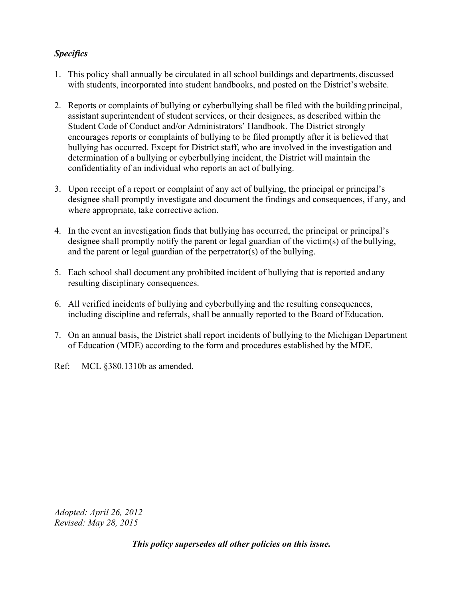## *Specifics*

- 1. This policy shall annually be circulated in all school buildings and departments, discussed with students, incorporated into student handbooks, and posted on the District's website.
- 2. Reports or complaints of bullying or cyberbullying shall be filed with the building principal, assistant superintendent of student services, or their designees, as described within the Student Code of Conduct and/or Administrators' Handbook. The District strongly encourages reports or complaints of bullying to be filed promptly after it is believed that bullying has occurred. Except for District staff, who are involved in the investigation and determination of a bullying or cyberbullying incident, the District will maintain the confidentiality of an individual who reports an act of bullying.
- 3. Upon receipt of a report or complaint of any act of bullying, the principal or principal's designee shall promptly investigate and document the findings and consequences, if any, and where appropriate, take corrective action.
- 4. In the event an investigation finds that bullying has occurred, the principal or principal's designee shall promptly notify the parent or legal guardian of the victim(s) of the bullying, and the parent or legal guardian of the perpetrator(s) of the bullying.
- 5. Each school shall document any prohibited incident of bullying that is reported and any resulting disciplinary consequences.
- 6. All verified incidents of bullying and cyberbullying and the resulting consequences, including discipline and referrals, shall be annually reported to the Board of Education.
- 7. On an annual basis, the District shall report incidents of bullying to the Michigan Department of Education (MDE) according to the form and procedures established by the MDE.
- Ref: MCL §380.1310b as amended.

*Adopted: April 26, 2012 Revised: May 28, 2015*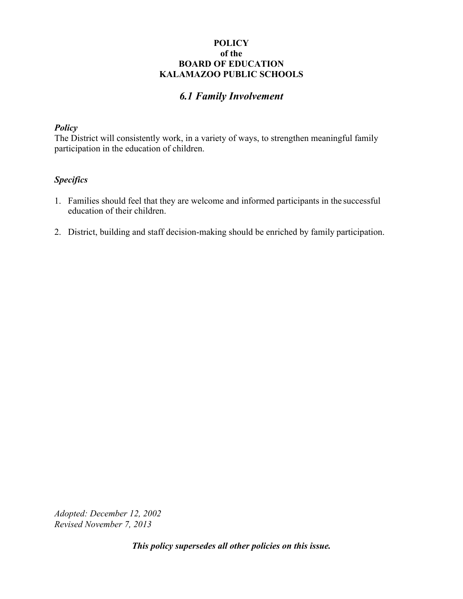# *6.1 Family Involvement*

#### *Policy*

The District will consistently work, in a variety of ways, to strengthen meaningful family participation in the education of children.

## *Specifics*

- 1. Families should feel that they are welcome and informed participants in the successful education of their children.
- 2. District, building and staff decision-making should be enriched by family participation.

*Adopted: December 12, 2002 Revised November 7, 2013*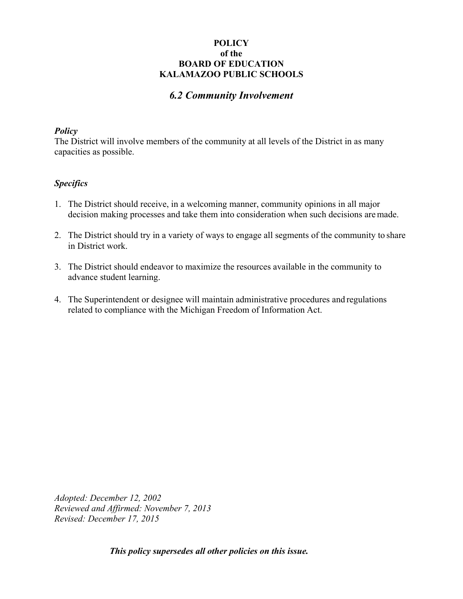## *6.2 Community Involvement*

#### *Policy*

The District will involve members of the community at all levels of the District in as many capacities as possible.

#### *Specifics*

- 1. The District should receive, in a welcoming manner, community opinions in all major decision making processes and take them into consideration when such decisions are made.
- 2. The District should try in a variety of ways to engage all segments of the community to share in District work.
- 3. The District should endeavor to maximize the resources available in the community to advance student learning.
- 4. The Superintendent or designee will maintain administrative procedures and regulations related to compliance with the Michigan Freedom of Information Act.

*Adopted: December 12, 2002 Reviewed and Affirmed: November 7, 2013 Revised: December 17, 2015*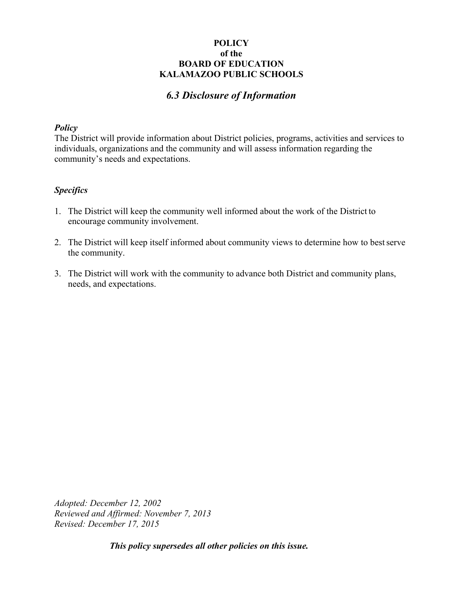# *6.3 Disclosure of Information*

#### *Policy*

The District will provide information about District policies, programs, activities and services to individuals, organizations and the community and will assess information regarding the community's needs and expectations.

#### *Specifics*

- 1. The District will keep the community well informed about the work of the District to encourage community involvement.
- 2. The District will keep itself informed about community views to determine how to best serve the community.
- 3. The District will work with the community to advance both District and community plans, needs, and expectations.

*Adopted: December 12, 2002 Reviewed and Affirmed: November 7, 2013 Revised: December 17, 2015*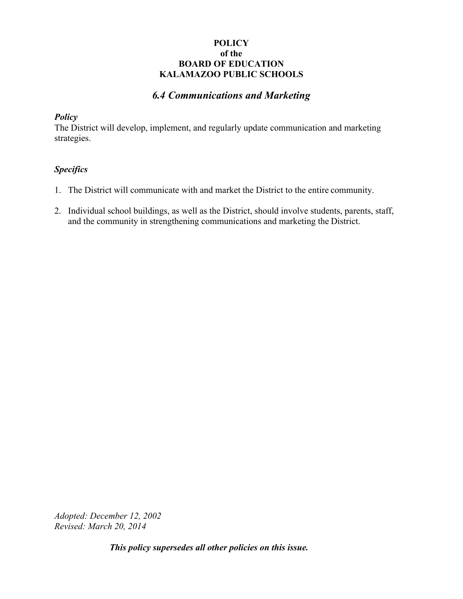## *6.4 Communications and Marketing*

#### *Policy*

The District will develop, implement, and regularly update communication and marketing strategies.

## *Specifics*

- 1. The District will communicate with and market the District to the entire community.
- 2. Individual school buildings, as well as the District, should involve students, parents, staff, and the community in strengthening communications and marketing the District.

*Adopted: December 12, 2002 Revised: March 20, 2014*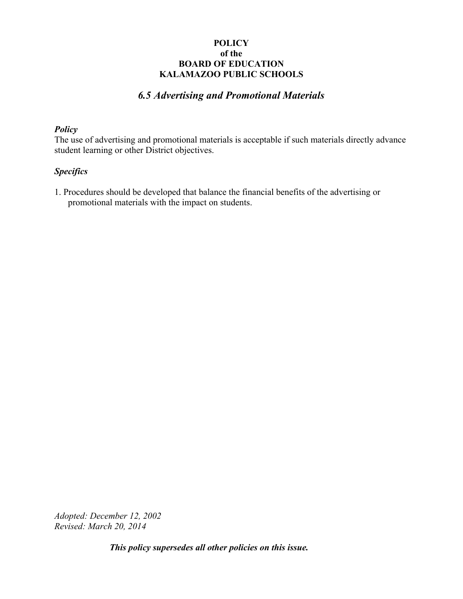# *6.5 Advertising and Promotional Materials*

#### *Policy*

The use of advertising and promotional materials is acceptable if such materials directly advance student learning or other District objectives.

#### *Specifics*

1. Procedures should be developed that balance the financial benefits of the advertising or promotional materials with the impact on students.

*Adopted: December 12, 2002 Revised: March 20, 2014*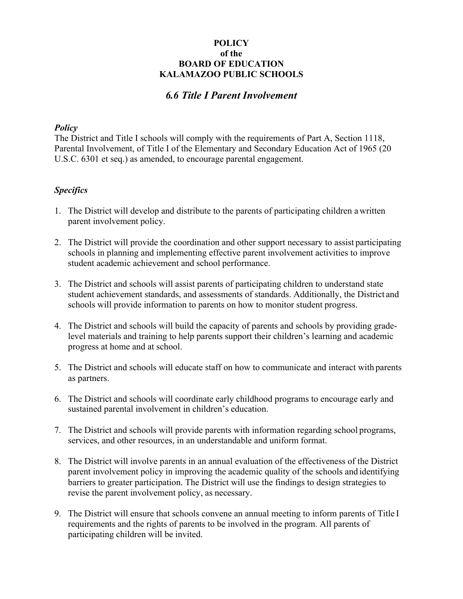## *6.6 Title I Parent Involvement*

#### *Policy*

The District and Title I schools will comply with the requirements of Part A, Section 1118, Parental Involvement, of Title I of the Elementary and Secondary Education Act of 1965 (20 U.S.C. 6301 et seq.) as amended, to encourage parental engagement.

#### *Specifics*

- 1. The District will develop and distribute to the parents of participating children a written parent involvement policy.
- 2. The District will provide the coordination and other support necessary to assist participating schools in planning and implementing effective parent involvement activities to improve student academic achievement and school performance.
- 3. The District and schools will assist parents of participating children to understand state student achievement standards, and assessments of standards. Additionally, the District and schools will provide information to parents on how to monitor student progress.
- 4. The District and schools will build the capacity of parents and schools by providing gradelevel materials and training to help parents support their children's learning and academic progress at home and at school.
- 5. The District and schools will educate staff on how to communicate and interact with parents as partners.
- 6. The District and schools will coordinate early childhood programs to encourage early and sustained parental involvement in children's education.
- 7. The District and schools will provide parents with information regarding school programs, services, and other resources, in an understandable and uniform format.
- 8. The District will involve parents in an annual evaluation of the effectiveness of the District parent involvement policy in improving the academic quality of the schools and identifying barriers to greater participation. The District will use the findings to design strategies to revise the parent involvement policy, as necessary.
- 9. The District will ensure that schools convene an annual meeting to inform parents of Title I requirements and the rights of parents to be involved in the program. All parents of participating children will be invited.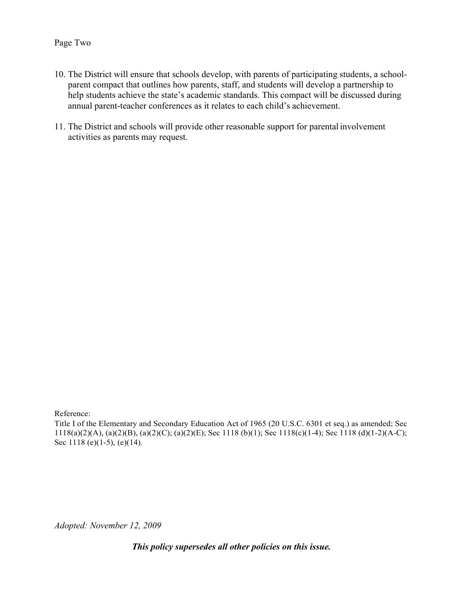#### Page Two

- 10. The District will ensure that schools develop, with parents of participating students, a schoolparent compact that outlines how parents, staff, and students will develop a partnership to help students achieve the state's academic standards. This compact will be discussed during annual parent-teacher conferences as it relates to each child's achievement.
- 11. The District and schools will provide other reasonable support for parental involvement activities as parents may request.

Reference:

Title I of the Elementary and Secondary Education Act of 1965 (20 U.S.C. 6301 et seq.) as amended; Sec 1118(a)(2)(A), (a)(2)(B), (a)(2)(C); (a)(2)(E); Sec 1118 (b)(1); Sec 1118(c)(1-4); Sec 1118 (d)(1-2)(A-C); Sec 1118 (e)(1-5), (e)(14).

*Adopted: November 12, 2009*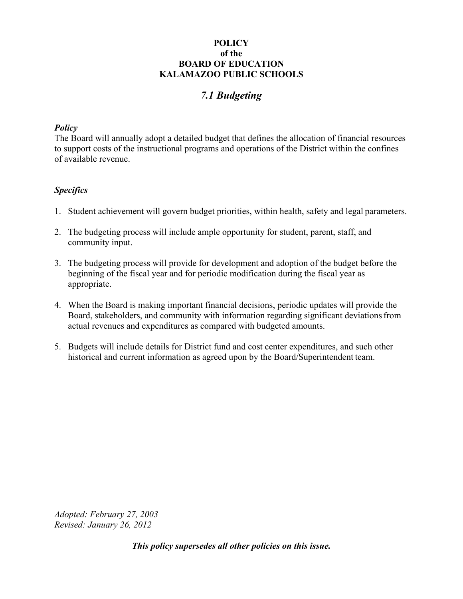# *7.1 Budgeting*

#### *Policy*

The Board will annually adopt a detailed budget that defines the allocation of financial resources to support costs of the instructional programs and operations of the District within the confines of available revenue.

## *Specifics*

- 1. Student achievement will govern budget priorities, within health, safety and legal parameters.
- 2. The budgeting process will include ample opportunity for student, parent, staff, and community input.
- 3. The budgeting process will provide for development and adoption of the budget before the beginning of the fiscal year and for periodic modification during the fiscal year as appropriate.
- 4. When the Board is making important financial decisions, periodic updates will provide the Board, stakeholders, and community with information regarding significant deviations from actual revenues and expenditures as compared with budgeted amounts.
- 5. Budgets will include details for District fund and cost center expenditures, and such other historical and current information as agreed upon by the Board/Superintendent team.

*Adopted: February 27, 2003 Revised: January 26, 2012*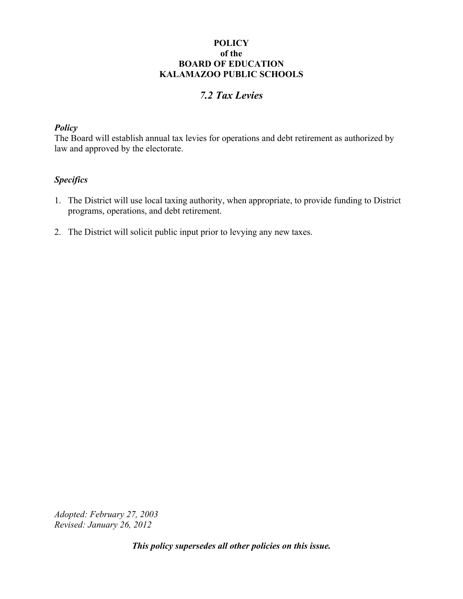# *7.2 Tax Levies*

#### *Policy*

The Board will establish annual tax levies for operations and debt retirement as authorized by law and approved by the electorate.

## *Specifics*

- 1. The District will use local taxing authority, when appropriate, to provide funding to District programs, operations, and debt retirement.
- 2. The District will solicit public input prior to levying any new taxes.

*Adopted: February 27, 2003 Revised: January 26, 2012*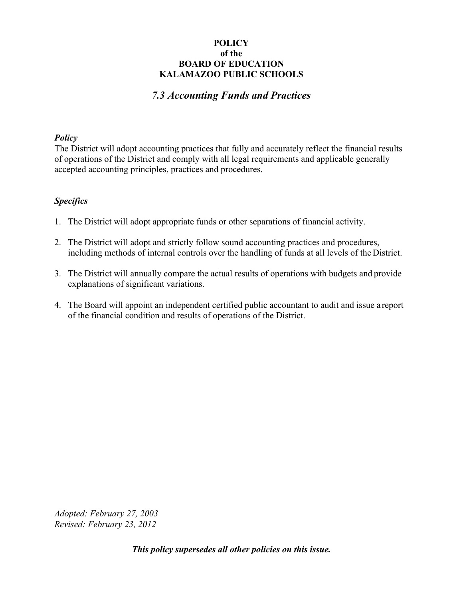# *7.3 Accounting Funds and Practices*

#### *Policy*

The District will adopt accounting practices that fully and accurately reflect the financial results of operations of the District and comply with all legal requirements and applicable generally accepted accounting principles, practices and procedures.

## *Specifics*

- 1. The District will adopt appropriate funds or other separations of financial activity.
- 2. The District will adopt and strictly follow sound accounting practices and procedures, including methods of internal controls over the handling of funds at all levels of the District.
- 3. The District will annually compare the actual results of operations with budgets and provide explanations of significant variations.
- 4. The Board will appoint an independent certified public accountant to audit and issue a report of the financial condition and results of operations of the District.

*Adopted: February 27, 2003 Revised: February 23, 2012*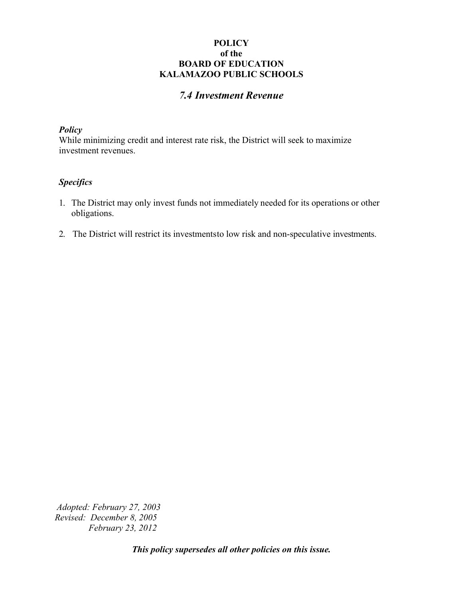# *7.4 Investment Revenue*

#### *Policy*

While minimizing credit and interest rate risk, the District will seek to maximize investment revenues.

#### *Specifics*

- 1. The District may only invest funds not immediately needed for its operations or other obligations.
- 2. The District will restrict its investments to low risk and non-speculative investments.

*Adopted: February 27, 2003 Revised: December 8, 2005 February 23, 2012*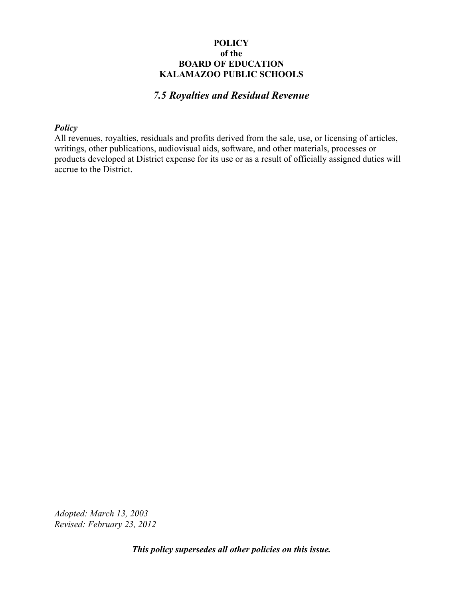# *7.5 Royalties and Residual Revenue*

#### *Policy*

All revenues, royalties, residuals and profits derived from the sale, use, or licensing of articles, writings, other publications, audiovisual aids, software, and other materials, processes or products developed at District expense for its use or as a result of officially assigned duties will accrue to the District.

*Adopted: March 13, 2003 Revised: February 23, 2012*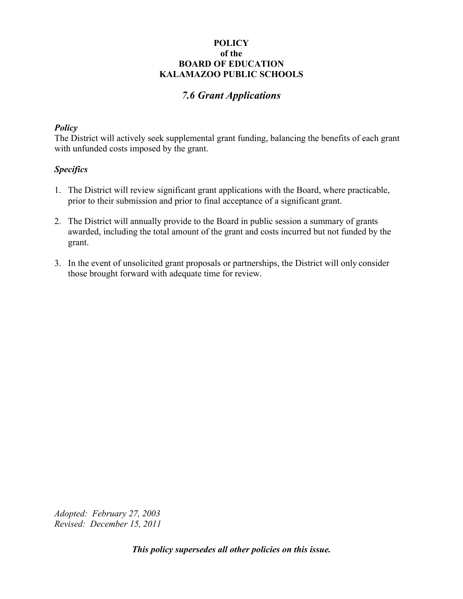# *7.6 Grant Applications*

#### *Policy*

The District will actively seek supplemental grant funding, balancing the benefits of each grant with unfunded costs imposed by the grant.

#### *Specifics*

- 1. The District will review significant grant applications with the Board, where practicable, prior to their submission and prior to final acceptance of a significant grant.
- 2. The District will annually provide to the Board in public session a summary of grants awarded, including the total amount of the grant and costs incurred but not funded by the grant.
- 3. In the event of unsolicited grant proposals or partnerships, the District will only consider those brought forward with adequate time for review.

*Adopted: February 27, 2003 Revised: December 15, 2011*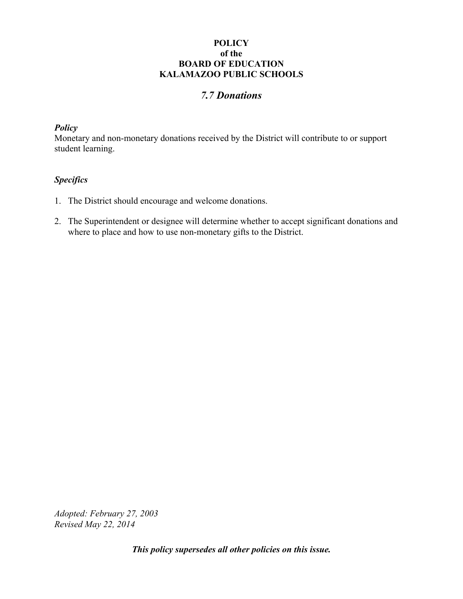# *7.7 Donations*

#### *Policy*

Monetary and non-monetary donations received by the District will contribute to or support student learning.

## *Specifics*

- 1. The District should encourage and welcome donations.
- 2. The Superintendent or designee will determine whether to accept significant donations and where to place and how to use non-monetary gifts to the District.

*Adopted: February 27, 2003 Revised May 22, 2014*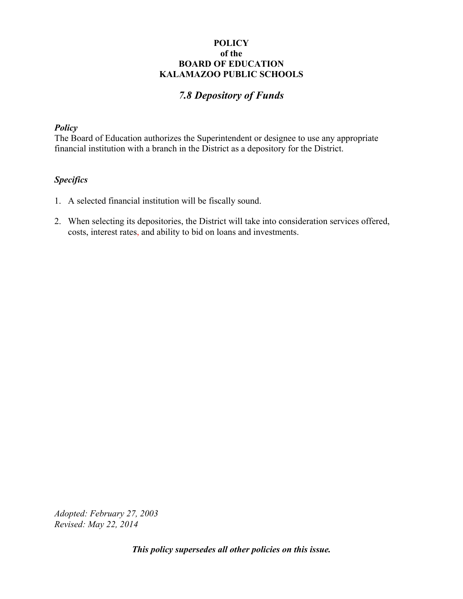# *7.8 Depository of Funds*

#### *Policy*

The Board of Education authorizes the Superintendent or designee to use any appropriate financial institution with a branch in the District as a depository for the District.

#### *Specifics*

- 1. A selected financial institution will be fiscally sound.
- 2. When selecting its depositories, the District will take into consideration services offered, costs, interest rates, and ability to bid on loans and investments.

*Adopted: February 27, 2003 Revised: May 22, 2014*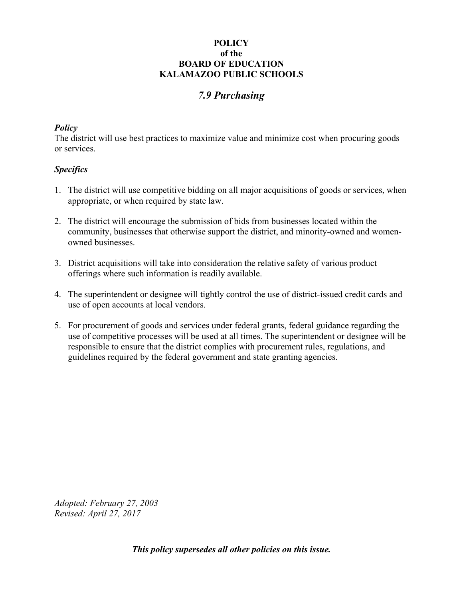# *7.9 Purchasing*

#### *Policy*

The district will use best practices to maximize value and minimize cost when procuring goods or services.

## *Specifics*

- 1. The district will use competitive bidding on all major acquisitions of goods or services, when appropriate, or when required by state law.
- 2. The district will encourage the submission of bids from businesses located within the community, businesses that otherwise support the district, and minority-owned and womenowned businesses.
- 3. District acquisitions will take into consideration the relative safety of various product offerings where such information is readily available.
- 4. The superintendent or designee will tightly control the use of district-issued credit cards and use of open accounts at local vendors.
- 5. For procurement of goods and services under federal grants, federal guidance regarding the use of competitive processes will be used at all times. The superintendent or designee will be responsible to ensure that the district complies with procurement rules, regulations, and guidelines required by the federal government and state granting agencies.

*Adopted: February 27, 2003 Revised: April 27, 2017*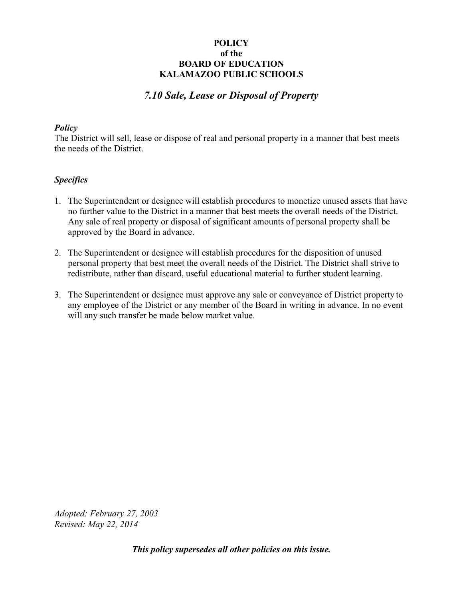# *7.10 Sale, Lease or Disposal of Property*

#### *Policy*

The District will sell, lease or dispose of real and personal property in a manner that best meets the needs of the District.

## *Specifics*

- 1. The Superintendent or designee will establish procedures to monetize unused assets that have no further value to the District in a manner that best meets the overall needs of the District. Any sale of real property or disposal of significant amounts of personal property shall be approved by the Board in advance.
- 2. The Superintendent or designee will establish procedures for the disposition of unused personal property that best meet the overall needs of the District. The District shall strive to redistribute, rather than discard, useful educational material to further student learning.
- 3. The Superintendent or designee must approve any sale or conveyance of District property to any employee of the District or any member of the Board in writing in advance. In no event will any such transfer be made below market value.

*Adopted: February 27, 2003 Revised: May 22, 2014*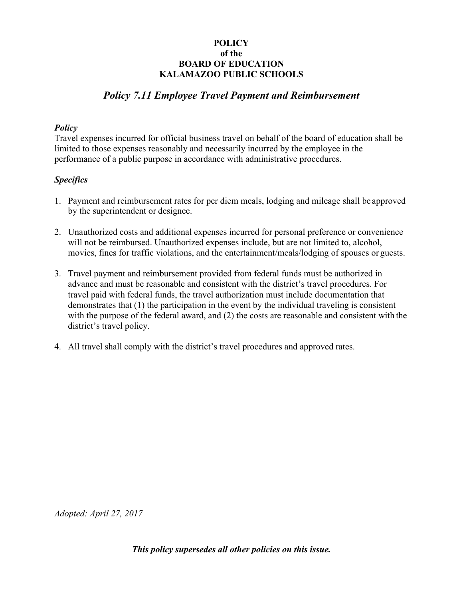# *Policy 7.11 Employee Travel Payment and Reimbursement*

#### *Policy*

Travel expenses incurred for official business travel on behalf of the board of education shall be limited to those expenses reasonably and necessarily incurred by the employee in the performance of a public purpose in accordance with administrative procedures.

## *Specifics*

- 1. Payment and reimbursement rates for per diem meals, lodging and mileage shall be approved by the superintendent or designee.
- 2. Unauthorized costs and additional expenses incurred for personal preference or convenience will not be reimbursed. Unauthorized expenses include, but are not limited to, alcohol, movies, fines for traffic violations, and the entertainment/meals/lodging of spouses or guests.
- 3. Travel payment and reimbursement provided from federal funds must be authorized in advance and must be reasonable and consistent with the district's travel procedures. For travel paid with federal funds, the travel authorization must include documentation that demonstrates that (1) the participation in the event by the individual traveling is consistent with the purpose of the federal award, and (2) the costs are reasonable and consistent with the district's travel policy.
- 4. All travel shall comply with the district's travel procedures and approved rates.

*Adopted: April 27, 2017*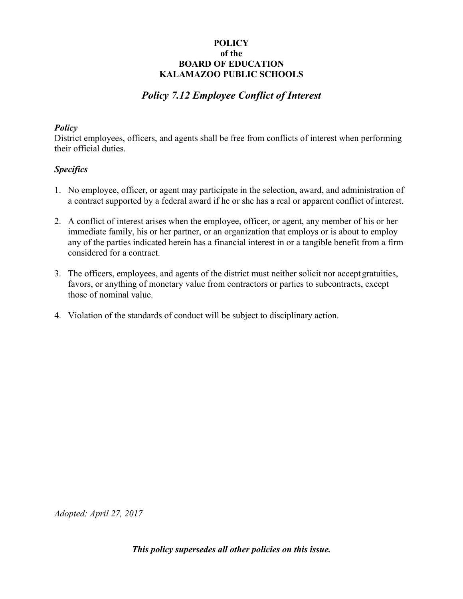# *Policy 7.12 Employee Conflict of Interest*

## *Policy*

District employees, officers, and agents shall be free from conflicts of interest when performing their official duties.

## *Specifics*

- 1. No employee, officer, or agent may participate in the selection, award, and administration of a contract supported by a federal award if he or she has a real or apparent conflict of interest.
- 2. A conflict of interest arises when the employee, officer, or agent, any member of his or her immediate family, his or her partner, or an organization that employs or is about to employ any of the parties indicated herein has a financial interest in or a tangible benefit from a firm considered for a contract.
- 3. The officers, employees, and agents of the district must neither solicit nor accept gratuities, favors, or anything of monetary value from contractors or parties to subcontracts, except those of nominal value.
- 4. Violation of the standards of conduct will be subject to disciplinary action.

*Adopted: April 27, 2017*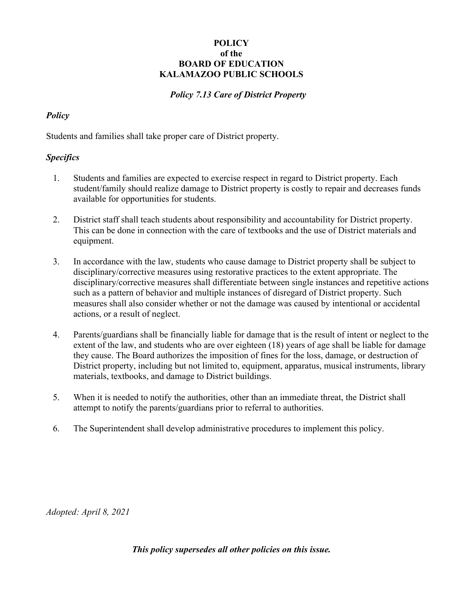## *Policy 7.13 Care of District Property*

## *Policy*

Students and families shall take proper care of District property.

#### *Specifics*

- 1. Students and families are expected to exercise respect in regard to District property. Each student/family should realize damage to District property is costly to repair and decreases funds available for opportunities for students.
- 2. District staff shall teach students about responsibility and accountability for District property. This can be done in connection with the care of textbooks and the use of District materials and equipment.
- 3. In accordance with the law, students who cause damage to District property shall be subject to disciplinary/corrective measures using restorative practices to the extent appropriate. The disciplinary/corrective measures shall differentiate between single instances and repetitive actions such as a pattern of behavior and multiple instances of disregard of District property. Such measures shall also consider whether or not the damage was caused by intentional or accidental actions, or a result of neglect.
- 4. Parents/guardians shall be financially liable for damage that is the result of intent or neglect to the extent of the law, and students who are over eighteen (18) years of age shall be liable for damage they cause. The Board authorizes the imposition of fines for the loss, damage, or destruction of District property, including but not limited to, equipment, apparatus, musical instruments, library materials, textbooks, and damage to District buildings.
- 5. When it is needed to notify the authorities, other than an immediate threat, the District shall attempt to notify the parents/guardians prior to referral to authorities.
- 6. The Superintendent shall develop administrative procedures to implement this policy.

*Adopted: April 8, 2021*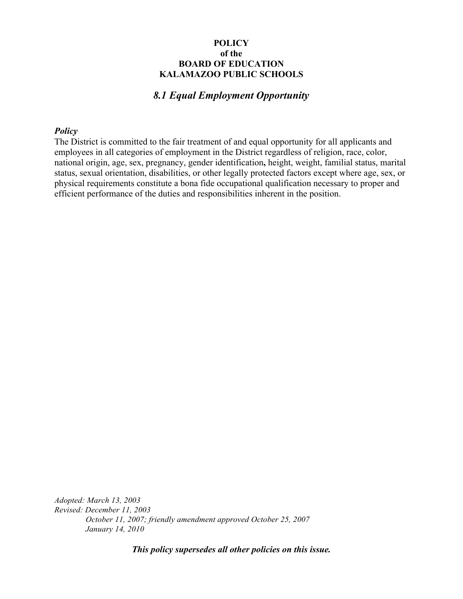## *8.1 Equal Employment Opportunity*

#### *Policy*

The District is committed to the fair treatment of and equal opportunity for all applicants and employees in all categories of employment in the District regardless of religion, race, color, national origin, age, sex, pregnancy, gender identification**,** height, weight, familial status, marital status, sexual orientation, disabilities, or other legally protected factors except where age, sex, or physical requirements constitute a bona fide occupational qualification necessary to proper and efficient performance of the duties and responsibilities inherent in the position.

*Adopted: March 13, 2003 Revised: December 11, 2003 October 11, 2007; friendly amendment approved October 25, 2007 January 14, 2010*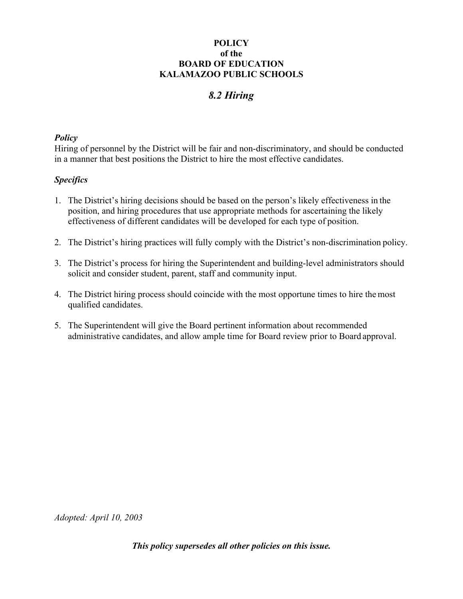# *8.2 Hiring*

#### *Policy*

Hiring of personnel by the District will be fair and non-discriminatory, and should be conducted in a manner that best positions the District to hire the most effective candidates.

#### *Specifics*

- 1. The District's hiring decisions should be based on the person's likely effectiveness in the position, and hiring procedures that use appropriate methods for ascertaining the likely effectiveness of different candidates will be developed for each type of position.
- 2. The District's hiring practices will fully comply with the District's non-discrimination policy.
- 3. The District's process for hiring the Superintendent and building-level administrators should solicit and consider student, parent, staff and community input.
- 4. The District hiring process should coincide with the most opportune times to hire the most qualified candidates.
- 5. The Superintendent will give the Board pertinent information about recommended administrative candidates, and allow ample time for Board review prior to Board approval.

*Adopted: April 10, 2003*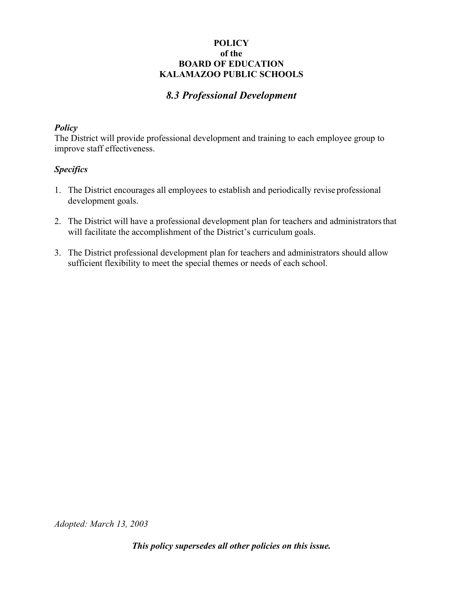# *8.3 Professional Development*

#### *Policy*

The District will provide professional development and training to each employee group to improve staff effectiveness.

#### *Specifics*

- 1. The District encourages all employees to establish and periodically revise professional development goals.
- 2. The District will have a professional development plan for teachers and administrators that will facilitate the accomplishment of the District's curriculum goals.
- 3. The District professional development plan for teachers and administrators should allow sufficient flexibility to meet the special themes or needs of each school.

*Adopted: March 13, 2003*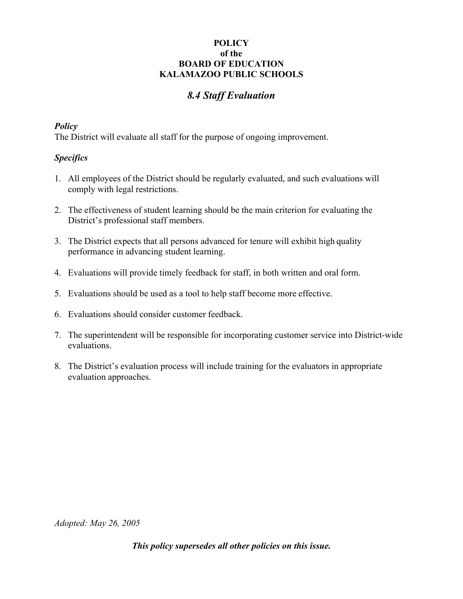# *8.4 Staff Evaluation*

### *Policy*

The District will evaluate all staff for the purpose of ongoing improvement.

### *Specifics*

- 1. All employees of the District should be regularly evaluated, and such evaluations will comply with legal restrictions.
- 2. The effectiveness of student learning should be the main criterion for evaluating the District's professional staff members.
- 3. The District expects that all persons advanced for tenure will exhibit high quality performance in advancing student learning.
- 4. Evaluations will provide timely feedback for staff, in both written and oral form.
- 5. Evaluations should be used as a tool to help staff become more effective.
- 6. Evaluations should consider customer feedback.
- 7. The superintendent will be responsible for incorporating customer service into District-wide evaluations.
- 8. The District's evaluation process will include training for the evaluators in appropriate evaluation approaches.

*Adopted: May 26, 2005*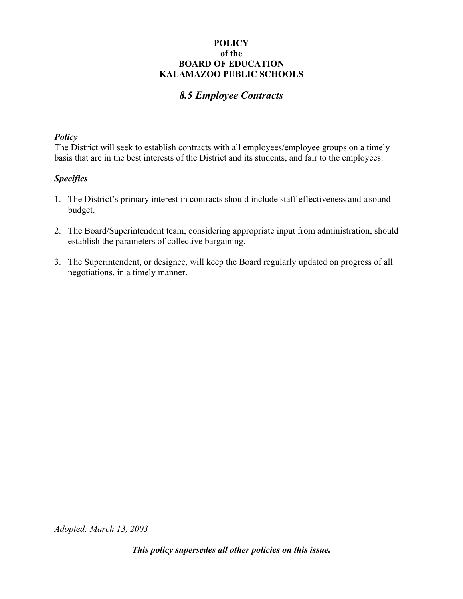# *8.5 Employee Contracts*

#### *Policy*

The District will seek to establish contracts with all employees/employee groups on a timely basis that are in the best interests of the District and its students, and fair to the employees.

### *Specifics*

- 1. The District's primary interest in contracts should include staff effectiveness and a sound budget.
- 2. The Board/Superintendent team, considering appropriate input from administration, should establish the parameters of collective bargaining.
- 3. The Superintendent, or designee, will keep the Board regularly updated on progress of all negotiations, in a timely manner.

*Adopted: March 13, 2003*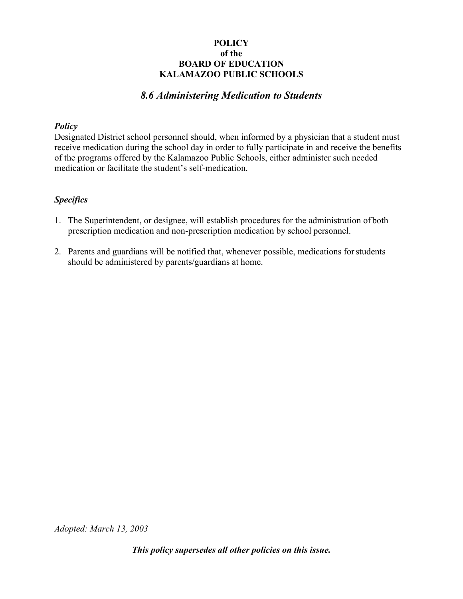# *8.6 Administering Medication to Students*

### *Policy*

Designated District school personnel should, when informed by a physician that a student must receive medication during the school day in order to fully participate in and receive the benefits of the programs offered by the Kalamazoo Public Schools, either administer such needed medication or facilitate the student's self-medication.

### *Specifics*

- 1. The Superintendent, or designee, will establish procedures for the administration of both prescription medication and non-prescription medication by school personnel.
- 2. Parents and guardians will be notified that, whenever possible, medications for students should be administered by parents/guardians at home.

*Adopted: March 13, 2003*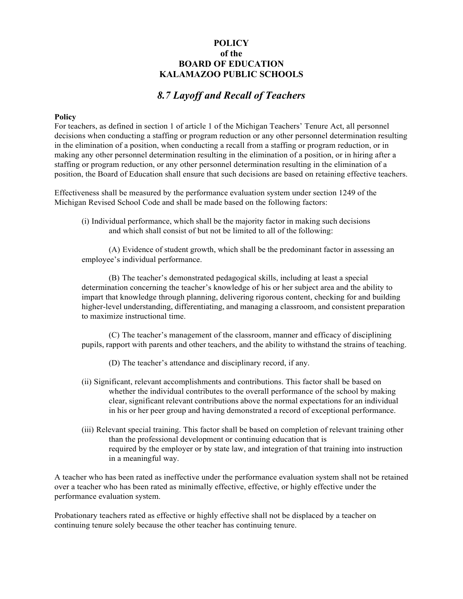# *8.7 Layoff and Recall of Teachers*

#### **Policy**

For teachers, as defined in section 1 of article 1 of the Michigan Teachers' Tenure Act, all personnel decisions when conducting a staffing or program reduction or any other personnel determination resulting in the elimination of a position, when conducting a recall from a staffing or program reduction, or in making any other personnel determination resulting in the elimination of a position, or in hiring after a staffing or program reduction, or any other personnel determination resulting in the elimination of a position, the Board of Education shall ensure that such decisions are based on retaining effective teachers.

Effectiveness shall be measured by the performance evaluation system under section 1249 of the Michigan Revised School Code and shall be made based on the following factors:

(i) Individual performance, which shall be the majority factor in making such decisions and which shall consist of but not be limited to all of the following:

(A) Evidence of student growth, which shall be the predominant factor in assessing an employee's individual performance.

(B) The teacher's demonstrated pedagogical skills, including at least a special determination concerning the teacher's knowledge of his or her subject area and the ability to impart that knowledge through planning, delivering rigorous content, checking for and building higher-level understanding, differentiating, and managing a classroom, and consistent preparation to maximize instructional time.

(C) The teacher's management of the classroom, manner and efficacy of disciplining pupils, rapport with parents and other teachers, and the ability to withstand the strains of teaching.

- (D) The teacher's attendance and disciplinary record, if any.
- (ii) Significant, relevant accomplishments and contributions. This factor shall be based on whether the individual contributes to the overall performance of the school by making clear, significant relevant contributions above the normal expectations for an individual in his or her peer group and having demonstrated a record of exceptional performance.
- (iii) Relevant special training. This factor shall be based on completion of relevant training other than the professional development or continuing education that is required by the employer or by state law, and integration of that training into instruction in a meaningful way.

A teacher who has been rated as ineffective under the performance evaluation system shall not be retained over a teacher who has been rated as minimally effective, effective, or highly effective under the performance evaluation system.

Probationary teachers rated as effective or highly effective shall not be displaced by a teacher on continuing tenure solely because the other teacher has continuing tenure.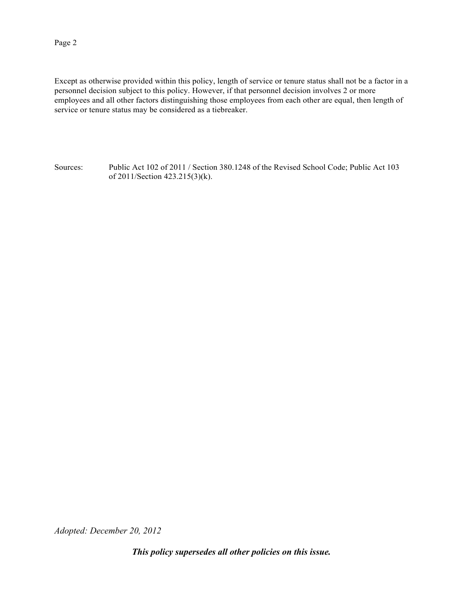Except as otherwise provided within this policy, length of service or tenure status shall not be a factor in a personnel decision subject to this policy. However, if that personnel decision involves 2 or more employees and all other factors distinguishing those employees from each other are equal, then length of service or tenure status may be considered as a tiebreaker.

Sources: Public Act 102 of 2011 / Section 380.1248 of the Revised School Code; Public Act 103 of 2011/Section 423.215(3)(k).

*Adopted: December 20, 2012*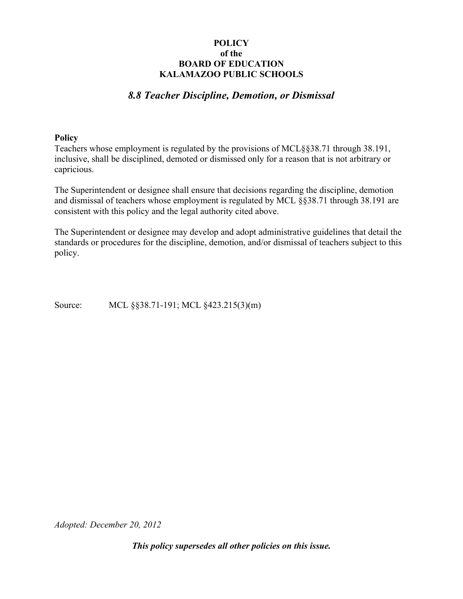# *8.8 Teacher Discipline, Demotion, or Dismissal*

#### **Policy**

Teachers whose employment is regulated by the provisions of MCL§§38.71 through 38.191, inclusive, shall be disciplined, demoted or dismissed only for a reason that is not arbitrary or capricious.

The Superintendent or designee shall ensure that decisions regarding the discipline, demotion and dismissal of teachers whose employment is regulated by MCL §§38.71 through 38.191 are consistent with this policy and the legal authority cited above.

The Superintendent or designee may develop and adopt administrative guidelines that detail the standards or procedures for the discipline, demotion, and/or dismissal of teachers subject to this policy.

Source: MCL §§38.71-191; MCL §423.215(3)(m)

*Adopted: December 20, 2012*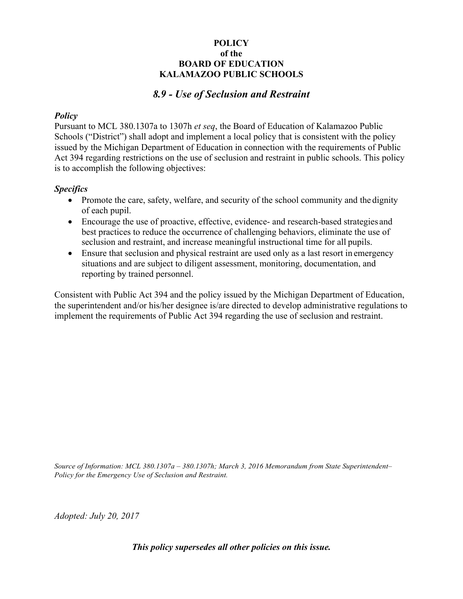# *8.9 - Use of Seclusion and Restraint*

#### *Policy*

Pursuant to MCL 380.1307a to 1307h *et seq*, the Board of Education of Kalamazoo Public Schools ("District") shall adopt and implement a local policy that is consistent with the policy issued by the Michigan Department of Education in connection with the requirements of Public Act 394 regarding restrictions on the use of seclusion and restraint in public schools. This policy is to accomplish the following objectives:

### *Specifics*

- Promote the care, safety, welfare, and security of the school community and the dignity of each pupil.
- Encourage the use of proactive, effective, evidence- and research-based strategies and best practices to reduce the occurrence of challenging behaviors, eliminate the use of seclusion and restraint, and increase meaningful instructional time for all pupils.
- Ensure that seclusion and physical restraint are used only as a last resort in emergency situations and are subject to diligent assessment, monitoring, documentation, and reporting by trained personnel.

Consistent with Public Act 394 and the policy issued by the Michigan Department of Education, the superintendent and/or his/her designee is/are directed to develop administrative regulations to implement the requirements of Public Act 394 regarding the use of seclusion and restraint.

*Source of Information: MCL 380.1307a – 380.1307h; March 3, 2016 Memorandum from State Superintendent– Policy for the Emergency Use of Seclusion and Restraint.*

*Adopted: July 20, 2017*